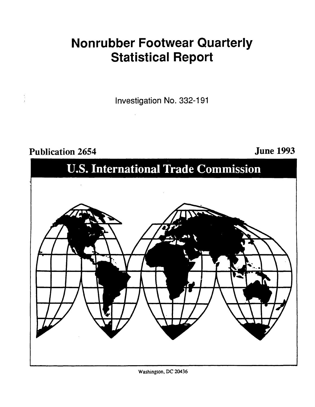# **Nonrubber Footwear Quarterly Statistical Report**

Investigation No. 332-191

## Publication 2654 June 1993

等于



Washinglon, DC 20436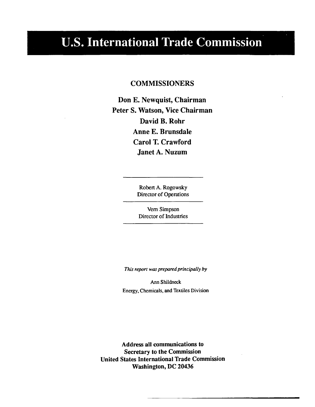### U.S. **International Trade Commission**  . '

### COMMISSIONERS

Don E. Newquist, Chairman Peter S. Watson, Vice Chairman David B. Rohr Anne E. Brunsdale Carol T. Crawford Janet A. Nuzum

> Robert A. Rogowsky Director of Operations

Vern Simpson Director of Industries

*This report was prepared principally by* 

Ann Shildneck Energy, Chemicals, and Textiles Division

Address all communications to Secretary to the Commission United States International Trade Commission Washington, DC 20436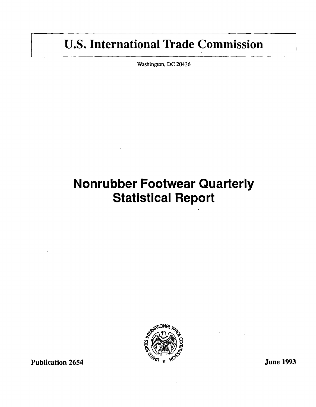## U.S. International Trade Commission

Washington, DC 20436

# **Nonrubber Footwear Quarterly Statistical Report**

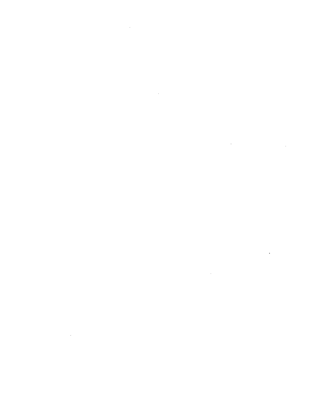$\label{eq:2.1} \frac{1}{\sqrt{2\pi}}\int_{0}^{\infty} \frac{1}{\sqrt{2\pi}}\left(\frac{1}{\sqrt{2\pi}}\right)^{2\alpha} \frac{1}{\sqrt{2\pi}}\int_{0}^{\infty} \frac{1}{\sqrt{2\pi}}\left(\frac{1}{\sqrt{2\pi}}\right)^{\alpha} \frac{1}{\sqrt{2\pi}}\frac{1}{\sqrt{2\pi}}\int_{0}^{\infty} \frac{1}{\sqrt{2\pi}}\frac{1}{\sqrt{2\pi}}\frac{1}{\sqrt{2\pi}}\frac{1}{\sqrt{2\pi}}\frac{1}{\sqrt{2\pi}}\frac{1}{\sqrt$  $\label{eq:2.1} \mathcal{L}(\mathcal{L}^{\mathcal{L}}_{\mathcal{L}}(\mathcal{L}^{\mathcal{L}}_{\mathcal{L}})) = \mathcal{L}(\mathcal{L}^{\mathcal{L}}_{\mathcal{L}}(\mathcal{L}^{\mathcal{L}}_{\mathcal{L}})) = \mathcal{L}(\mathcal{L}^{\mathcal{L}}_{\mathcal{L}}(\mathcal{L}^{\mathcal{L}}_{\mathcal{L}}))$  $\label{eq:2.1} \frac{1}{2} \sum_{i=1}^n \frac{1}{2} \sum_{j=1}^n \frac{1}{2} \sum_{j=1}^n \frac{1}{2} \sum_{j=1}^n \frac{1}{2} \sum_{j=1}^n \frac{1}{2} \sum_{j=1}^n \frac{1}{2} \sum_{j=1}^n \frac{1}{2} \sum_{j=1}^n \frac{1}{2} \sum_{j=1}^n \frac{1}{2} \sum_{j=1}^n \frac{1}{2} \sum_{j=1}^n \frac{1}{2} \sum_{j=1}^n \frac{1}{2} \sum_{j=1}^n \frac{$ 

 $\label{eq:2.1} \frac{1}{\sqrt{2}}\int_{\mathbb{R}^3}\frac{1}{\sqrt{2}}\left(\frac{1}{\sqrt{2}}\right)^2\frac{1}{\sqrt{2}}\left(\frac{1}{\sqrt{2}}\right)^2\frac{1}{\sqrt{2}}\left(\frac{1}{\sqrt{2}}\right)^2\frac{1}{\sqrt{2}}\left(\frac{1}{\sqrt{2}}\right)^2.$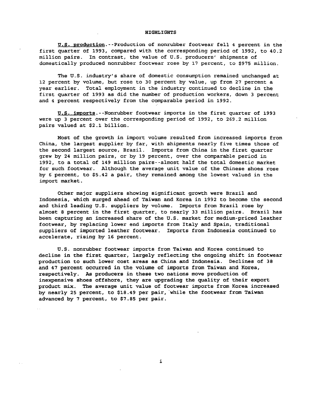U.S. production.--Production of nonrubber footwear fell 4 percent in the first quarter of 1993, compared with the corresponding period of 1992, to 40.2 million pairs. In contrast, the value of U.S. producers' shipments of domestically produced nonrubber footwear rose by 17 percent, to \$975 million.

The U.S. industry's share of domestic consumption remained unchanged at 12 percent by volume, but rose to 30 percent by value, up from 27 percent a year earlier. Total employment in the industry continued to decline in the first quarter of 1993 as did the number of production workers, down 3 percent and 4 percent respectively from the comparable period in 1992.

U.S. imports.--Nonrubber footwear imports in the first quarter of 1993 were up 3 percent over the corresponding period of 1992, to 269.2 million pairs valued at \$2.1 billion.

Most of the growth in import volume resulted from increased imports from China, the largest supplier by far, with shipments nearly five times those of the second largest source, Brazil. Imports from China in the first quarter grew by 24 million pairs, or by 19 percent, over the comparable period in 1992, to a total of 149 million pairs--almost half the total domestic market for such footwear. Although the average unit value of the Chinese shoes rose by 6 percent, to \$5.42 a pair, they remained among the lowest valued in the import market.

Other major suppliers showing significant growth were Brazil and Indonesia, which surged ahead of Taiwan and Korea in 1992 to become the second and third leading U.S. suppliers by volume. Imports from Brazil rose by almost 8 percent in the first quarter, to nearly 33 million pairs. Brazil has been capturing an increased share of the U.S. market for medium-priced leather footwear, by replacing lower end imports from Italy and Spain, traditional suppliers of imported leather footwear. Imports from Indonesia continued to accelerate, rising by 16 percent.

U.S. nonrubber footwear imports from Taiwan and Korea continued to decline in the first quarter, largely reflecting the ongoing shift in footwear production to such lower cost areas as China and Indonesia. Declines of 38 and 47 percent occurred in the volume of imports from Taiwan and Korea, respectively. As producers in these two nations move production of inexpensive shoes offshore, they are upgrading the quality of their export product mix. The average unit value of footwear imports from Korea increased by nearly 25 percent, to \$18.49 per pair, while the footwear from Taiwan advanced by 7 percent, to \$7.85 per pair.

i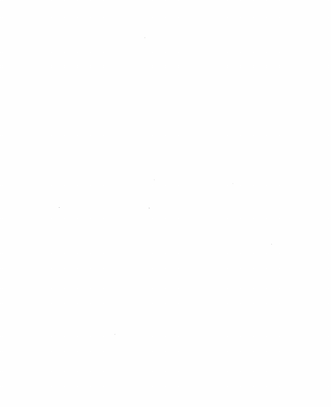$\mathcal{L}^{\text{max}}_{\text{max}}$  $\label{eq:2.1} \frac{1}{2} \sum_{i=1}^n \frac{1}{2} \sum_{j=1}^n \frac{1}{2} \sum_{j=1}^n \frac{1}{2} \sum_{j=1}^n \frac{1}{2} \sum_{j=1}^n \frac{1}{2} \sum_{j=1}^n \frac{1}{2} \sum_{j=1}^n \frac{1}{2} \sum_{j=1}^n \frac{1}{2} \sum_{j=1}^n \frac{1}{2} \sum_{j=1}^n \frac{1}{2} \sum_{j=1}^n \frac{1}{2} \sum_{j=1}^n \frac{1}{2} \sum_{j=1}^n \frac{$  $\label{eq:2.1} \frac{1}{\sqrt{2}}\int_{\mathbb{R}^3}\frac{1}{\sqrt{2}}\left(\frac{1}{\sqrt{2}}\right)^2\frac{1}{\sqrt{2}}\left(\frac{1}{\sqrt{2}}\right)^2\frac{1}{\sqrt{2}}\left(\frac{1}{\sqrt{2}}\right)^2\frac{1}{\sqrt{2}}\left(\frac{1}{\sqrt{2}}\right)^2.$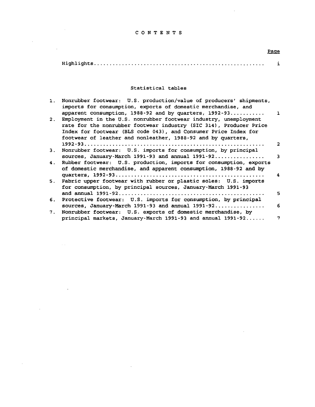#### C 0 N T E N T S

 $\label{eq:2.1} \mathcal{L}(\mathcal{L}^{\text{max}}_{\mathcal{L}}(\mathcal{L}^{\text{max}}_{\mathcal{L}})) \leq \mathcal{L}(\mathcal{L}^{\text{max}}_{\mathcal{L}}(\mathcal{L}^{\text{max}}_{\mathcal{L}}))$ 

 $\sim 10^{11}$ 

 $\mathcal{L}^{\text{max}}_{\text{max}}$  , where  $\mathcal{L}^{\text{max}}_{\text{max}}$ 

 $\sim 10^{-11}$ 

 $\sim 10^{11}$  km s  $^{-1}$ 

| Page |
|------|
| i    |

 $\sim 10^7$ 

 $\mathcal{L}^{\text{max}}_{\text{max}}$  , where  $\mathcal{L}^{\text{max}}_{\text{max}}$ 

#### Statistical tables

| 1. | Nonrubber footwear: U.S. production/value of producers' shipments,<br>imports for consumption, exports of domestic merchandise, and                                                              |    |
|----|--------------------------------------------------------------------------------------------------------------------------------------------------------------------------------------------------|----|
| 2. | apparent consumption, 1988-92 and by quarters, 1992-93<br>Employment in the U.S. nonrubber footwear industry, unemployment<br>rate for the nonrubber footwear industry (SIC 314), Producer Price | п. |
|    | Index for footwear (BLS code 043), and Consumer Price Index for<br>footwear of leather and nonleather, 1988-92 and by quarters,                                                                  |    |
|    |                                                                                                                                                                                                  | 2  |
| З. | Nonrubber footwear: U.S. imports for consumption, by principal                                                                                                                                   |    |
|    | sources, January-March 1991-93 and annual 1991-92                                                                                                                                                | 3  |
| 4. | Rubber footwear: U.S. production, imports for consumption, exports<br>of domestic merchandise, and apparent consumption, 1988-92 and by                                                          |    |
|    |                                                                                                                                                                                                  | 4  |
| 5. | Fabric upper footwear with rubber or plastic soles: U.S. imports<br>for consumption, by principal sources, January-March 1991-93                                                                 |    |
|    |                                                                                                                                                                                                  | 5. |
| 6. | Protective footwear: U.S. imports for consumption, by principal                                                                                                                                  |    |
|    | sources, January-March 1991-93 and annual $1991-92$                                                                                                                                              | 6  |
| 7. | Nonrubber footwear: U.S. exports of domestic merchandise, by                                                                                                                                     |    |
|    | principal markets, January-March 1991-93 and annual 1991-92                                                                                                                                      | 7  |
|    |                                                                                                                                                                                                  |    |

 $\mathcal{L}^{\text{max}}_{\text{max}}$  and  $\mathcal{L}^{\text{max}}_{\text{max}}$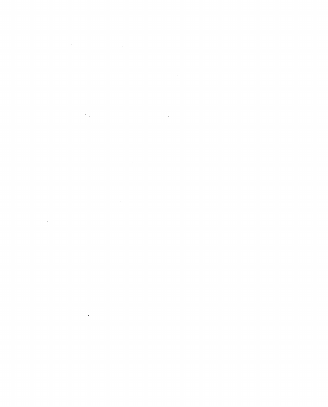$\label{eq:2} \mathcal{L}_{\text{max}} = \mathcal{L}_{\text{max}} + \mathcal{L}_{\text{max}}$ 

 $\label{eq:2.1} \frac{1}{\sqrt{2}}\sum_{i=1}^n\frac{1}{\sqrt{2}}\sum_{i=1}^n\frac{1}{\sqrt{2}}\sum_{i=1}^n\frac{1}{\sqrt{2}}\sum_{i=1}^n\frac{1}{\sqrt{2}}\sum_{i=1}^n\frac{1}{\sqrt{2}}\sum_{i=1}^n\frac{1}{\sqrt{2}}\sum_{i=1}^n\frac{1}{\sqrt{2}}\sum_{i=1}^n\frac{1}{\sqrt{2}}\sum_{i=1}^n\frac{1}{\sqrt{2}}\sum_{i=1}^n\frac{1}{\sqrt{2}}\sum_{i=1}^n\frac$ 

 $\label{eq:2.1} \mathcal{L}(\mathcal{L}^{\text{max}}_{\mathcal{L}}(\mathcal{L}^{\text{max}}_{\mathcal{L}}(\mathcal{L}^{\text{max}}_{\mathcal{L}}(\mathcal{L}^{\text{max}}_{\mathcal{L}^{\text{max}}_{\mathcal{L}}})))))$ 

 $\label{eq:2.1} \frac{1}{\sqrt{2}}\int_{0}^{\infty}\frac{1}{\sqrt{2\pi}}\left(\frac{1}{\sqrt{2\pi}}\right)^{2\alpha} \frac{1}{\sqrt{2\pi}}\int_{0}^{\infty}\frac{1}{\sqrt{2\pi}}\left(\frac{1}{\sqrt{2\pi}}\right)^{\alpha} \frac{1}{\sqrt{2\pi}}\frac{1}{\sqrt{2\pi}}\int_{0}^{\infty}\frac{1}{\sqrt{2\pi}}\frac{1}{\sqrt{2\pi}}\frac{1}{\sqrt{2\pi}}\frac{1}{\sqrt{2\pi}}\frac{1}{\sqrt{2\pi}}\frac{1}{\sqrt{2\pi}}$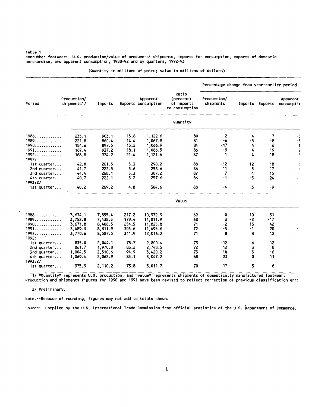Table 1

Nonrubber footwear: U.S. production/value of producers' shipments, imports for consumption, exports of domestic merchandise, and apparent consumption, 1988-92 and by quarters, 1992-93

|                        |                            | Imports |       |                                 |                                                    | Percentage change from year-earlier period |      |                 |                        |
|------------------------|----------------------------|---------|-------|---------------------------------|----------------------------------------------------|--------------------------------------------|------|-----------------|------------------------|
| Period                 | Production/<br>shipments1/ |         |       | Apparent<br>Exports consumption | Ratio<br>(percent)<br>of imports<br>to consumption | Production/<br>shipments                   |      | Imports Exports | Apparent<br>consumptic |
|                        |                            |         |       |                                 | Quantity                                           |                                            |      |                 |                        |
| $1988$                 | 235.1                      | 903.1   | 15.6  | 1,122.6                         | 80                                                 | 2                                          | -4   | 7               | -3                     |
| $1989$                 | 221.8                      | 860.4   | 14.4  | 1,067.8                         | 81                                                 | -6                                         | -5   | -8              | ÷,                     |
| $1990$                 | 184.6                      | 897.5   | 15.2  | 1,066.9                         | 84                                                 | $-17$                                      | 4    | 6               | -6                     |
| $1991$                 | 167.4                      | 937.2   | 18.1  | 1,086.5                         | 86                                                 | $-9$                                       | 4    | 19              | f.                     |
| 1992.<br>.<br>1992:    | 168.8                      | 974.2   | 21.4  | 1,121.6                         | 87                                                 | 1                                          | 4    | 18              |                        |
| 1st quarter            | 42.0                       | 261.5   | 5.3   | 298.2                           | 88                                                 | $-12$                                      | 12   | 18              | ı                      |
| 2nd quarter            | 41.7                       | 222.5   | 5.6   | 258.6                           | 86                                                 | 11                                         | 5    | 17              |                        |
| 3rd quarter            | 44.4                       | 268.1   | 5.3   | 307.2                           | 87                                                 | $\overline{7}$                             | 4    | 15              |                        |
| 4th quarter<br>1993:2/ | 40.7                       | 222.1   | 5.2   | 257.6                           | 86                                                 | $-1$                                       | -5   | 24              | -!                     |
| 1st quarter            | 40.2                       | 269.2   | 4.8   | 304.6                           | 88                                                 | $-4$                                       | 3    | -9              |                        |
|                        |                            |         |       |                                 | Value                                              |                                            |      |                 |                        |
| $1988$                 | 3,634.1                    | 7,555.4 | 217.2 | 10,972.3                        | 69                                                 | 0                                          | 10   | 31              |                        |
| $1989$                 | 3,752.8                    | 7,438.5 | 179.4 | 11,011.9                        | 68                                                 | 3                                          | -2   | $-17$           |                        |
| 1990                   | 3,671.8                    | 8,408.5 | 254.5 | 11,825.8                        | 71                                                 | $-2$                                       | 13   | 42              |                        |
| 1991                   | 3,489.3                    | 8,311.9 | 305.6 | 11,495.6                        | 72                                                 | $-5$                                       | $-1$ | 20              |                        |
| 1992.<br>.             | 3,770.6                    | 8,587.5 | 341.9 | 12,016.2                        | 71                                                 | 8                                          | 3    | 12              |                        |
| 1992:                  |                            |         |       |                                 |                                                    |                                            |      |                 |                        |
| 1st quarter            | 835.0                      | 2,044.1 | 78.7  | 2,800.4                         | 73                                                 | $-12$                                      | 6    | 12              |                        |
| 2nd quarter            | 861.7                      | 1,970.0 | 83.2  | 2,748.5                         | 72                                                 | 12                                         | 3    | 8               |                        |
| 3rd quarter            | 1,004.5                    | 2,510.6 | 94.9  | 3,420.2                         | 73                                                 | 10                                         | 5    | 16              |                        |
| 4th quarter            | 1,069.4                    | 2,062.9 | 85.1  | 3,047.2                         | 68                                                 | 23                                         | 0    | 11              |                        |
| 1993:2/                |                            |         |       |                                 |                                                    |                                            |      |                 |                        |
| 1st quarter            | 975.3                      | 2,110.2 | 73.8  | 3,011.7                         | 70                                                 | 17                                         | 3    | -6              |                        |

(Quantity in millions of pairs; value in millions of dollars)

1/ "Quantity" represents U.S. production, and "value" represents shipments of domestically manufactured footwear. Production and shipments figures for 1990 and 1991 have been revised to reflect correction of previous classification errc

*21* Preliminary.

 $\bar{z}$ 

Note.--Because of rounding, figures may not add to totals shown.

Source: Compiled by the U.S. International Trade Commission from official statistics of the U.S. Department of Conmerce.

 $\mathcal{L}_{\mathcal{A}}$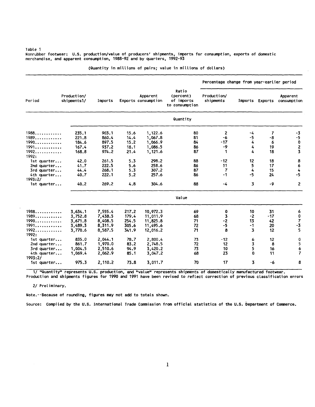Nonrubber footwear: U.S. production/value of producers' shipments, imports for consumption, exports of domestic merchandise, and apparent consumption, 1988-92 and by quarters, 1992-93

|                        |                            | Imports |       |                                 |                                                    | Percentage change from year-earlier period |      |                 |                         |  |
|------------------------|----------------------------|---------|-------|---------------------------------|----------------------------------------------------|--------------------------------------------|------|-----------------|-------------------------|--|
| Period                 | Production/<br>shipments1/ |         |       | Apparent<br>Exports consumption | Ratio<br>(percent)<br>of imports<br>to consumption | Production/<br>shipments                   |      | Imports Exports | Apparent<br>consumption |  |
|                        |                            |         |       |                                 | Quantity                                           |                                            |      |                 |                         |  |
| $1988$                 | 235.1                      | 903.1   | 15.6  | 1,122.6                         | 80                                                 | 2                                          | -4   | 7               | $-3$                    |  |
| $1989$                 | 221.8                      | 860.4   | 14.4  | 1,067.8                         | 81                                                 | -6                                         | $-5$ | -8              |                         |  |
| $1990$                 | 184.6                      | 897.5   | 15.2  | 1,066.9                         | 84                                                 | - 17                                       | 4    | 6               | $-5$<br>0               |  |
| $1991$                 | 167.4                      | 937.2   | 18.1  | 1,086.5                         | 86                                                 | -9                                         | 4    | 19              | $\frac{2}{3}$           |  |
| $1992$<br>1992:        | 168.8                      | 974.2   | 21.4  | 1,121.6                         | 87                                                 | 1                                          | 4    | 18              |                         |  |
| 1st quarter            | 42.0                       | 261.5   | 5.3   | 298.2                           | 88                                                 | - 12                                       | 12   | 18              | 8                       |  |
| 2nd quarter            | 41.7                       | 222.5   | 5.6   | 258.6                           | 86                                                 | 11                                         | 5    | 17              | 6                       |  |
| 3rd quarter            | 44.4                       | 268.1   | 5.3   | 307.2                           | 87                                                 | 7                                          | 4    | 15              | 4                       |  |
| 4th quarter<br>1993:27 | 40.7                       | 222.1   | 5.2   | 257.6                           | 86                                                 | $-1$                                       | $-5$ | 24              | -5                      |  |
| 1st quarter            | 40.2                       | 269.2   | 4.8   | 304.6                           | 88                                                 | $-4$                                       | 3    | -9              | $\overline{2}$          |  |
|                        |                            |         |       |                                 | Value                                              |                                            |      |                 |                         |  |
| $1988$                 | 3,634.1                    | 7,555.4 | 217.2 | 10,972.3                        | 69                                                 | 0                                          | 10   | 31              | 6                       |  |
| 1989                   | 3,752.8                    | 7,438.5 | 179.4 | 11,011.9                        | 68                                                 | 3                                          | $-2$ | $-17$           | $\frac{0}{7}$           |  |
| $1990$                 | 3,671.8                    | 8,408.5 | 254.5 | 11,825.8                        | 71                                                 | $-2$                                       | 13   | 42              |                         |  |
| 1991                   | 3,489.3                    | 8,311.9 | 305.6 | 11,495.6                        | 72                                                 | $-5$                                       | $-1$ | 20              | $-3$                    |  |
| 1992.<br>1992:         | 3,770.6                    | 8,587.5 | 341.9 | 12,016.2                        | 71                                                 | 8                                          | 3    | 12              | 5                       |  |
| 1st quarter            | 835.0                      | 2.044.1 | 78.7  | 2,800.4                         | 73                                                 | -12                                        | 6    | 12              |                         |  |
| 2nd quarter            | 861.7                      | 1,970.0 | 83.2  | 2,748.5                         | 72                                                 | 12                                         | 3    | 8               | $\frac{0}{5}$           |  |
| 3rd quarter            | 1,004.5                    | 2,510.6 | 94.9  | 3,420.2                         | 73                                                 | 10                                         | 5    | 16              | $\frac{6}{7}$           |  |
| 4th quarter<br>1993:2/ | 1,069.4                    | 2,062.9 | 85.1  | 3,047.2                         | 68                                                 | 23                                         | 0    | 11              |                         |  |
| 1st quarter            | 975.3                      | 2,110.2 | 73.8  | 3,011.7                         | 70                                                 | 17                                         | 3    | -6              | 8                       |  |

#### (Quantity in millions of pairs; value in millions of dollars)

1/ "Quantity" represents U.S. production, and "value" represents shipments of domestically manufactured footwear. Production and shipments figures for 1990 and 1991 have been revised to reflect correction of previous classification errors

*21* Preliminary.

Note.--Because of rounding, figures may not add to totals shown.

Source: Compiled by the U.S. International Trade Conmission from official statistics of the U.S. Department of Comnerce.

Table 1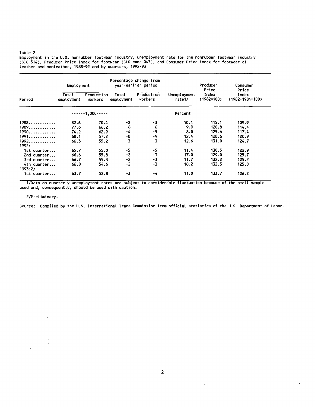Table 2

Employment in the U.S. nonrubber footwear industry, unemployment rate for the nonrubber footwear industry (SIC 314), Producer Price Index for footwear CBLS code 043), and Consumer Price Index for footwear of leather and nonleather, 1988-92 and by quarters, 1992-93

|                      | Employment          |                       |                     | Percentage change from<br>year-earlier period |                        | Producer<br>Price     | Consumer<br>Price              |
|----------------------|---------------------|-----------------------|---------------------|-----------------------------------------------|------------------------|-----------------------|--------------------------------|
| Period               | Total<br>employment | Production<br>workers | Total<br>employment | Production<br>workers                         | Unemployment<br>rate1/ | Index<br>$(1982=100)$ | Index<br>$(1982 - 1984 = 100)$ |
|                      |                     | $---1.000---$         |                     |                                               | Percent                |                       |                                |
| 1988                 | 82.6                | 70.4                  | -2                  | -3                                            | 10.4                   | 115.1                 | 109.9                          |
| $1989 \ldots \ldots$ | 77.6                | 66.2                  | -6                  | -6                                            | 9.9                    | 120.8                 | 114.4                          |
| 1990                 | 74.2                | 62.9                  | -4                  | -5                                            | 8.0                    | 125.6                 | 117.4                          |
| 1991                 | 68.1                | 57.2                  | -8                  | -9                                            | 12.4                   | 128.6                 | 120.9                          |
| 1992                 | 66.3                | 55.2                  | -3                  | $-3$                                          | 12.6                   | 131.0                 | 124.7                          |
| 1992:                |                     |                       |                     |                                               |                        |                       |                                |
| 1st quarter          | 65.7                | 55.0                  | -5                  | -5                                            | 11.4                   | 130.5                 | 122.9                          |
| 2nd quarter          | 66.6                | 55.8                  | $-2$                | $-3$                                          | 17.0                   | 129.0                 | 125.7                          |
| 3rd quarter          | 66.7                | 55.3                  | $-2$                | $-3$                                          | 11.7                   | 132.2                 | 125.2                          |
| 4th quarter          | 66.0                | 54.6                  | -2                  | $-3$                                          | 10.2                   | 132.3                 | 125.0                          |
| 1993:2/              |                     |                       |                     |                                               |                        |                       |                                |
| 1st quarter          | 63.7                | 52.8                  | -3                  | -4                                            | 11.0                   | 133.7                 | 126.2                          |

1/Data on quarterly unemployment rates are subject to considerable fluctuation because of the small sample used and, consequently, should be used with caution.

#### 2/Prel iminary.

 $\ddot{\phantom{1}}$  $\ddot{\phantom{0}}$ 

Source: Compiled by the U.S. International Trade Commission from official statistics of the U.S. Department of Labor.

 $\sim$ 

 $\overline{\phantom{a}}$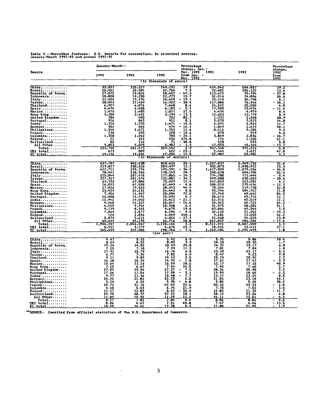| Table 3.--Nonrubber footwear: U.S. imports for consumption, by principal sources, |  |  |  |
|-----------------------------------------------------------------------------------|--|--|--|
| January-March 1991-93 and annual 1991-92                                          |  |  |  |

 $\sim 10^7$ 

 $\hat{\mathcal{A}}$ 

|                                                                                                                           | January-March--     |                      |                                     | Percentage<br>change, Jan.-                |                      |                      | Percentage<br>change, |  |
|---------------------------------------------------------------------------------------------------------------------------|---------------------|----------------------|-------------------------------------|--------------------------------------------|----------------------|----------------------|-----------------------|--|
| Source                                                                                                                    | 1991                | 1992                 | 1993                                | Mar. 1993 1991<br>from Jan. -<br>Mar. 1992 |                      | 1992                 | 1992<br>from<br>1991  |  |
|                                                                                                                           |                     |                      | (In thousands of pairs)             |                                            |                      |                      |                       |  |
| China                                                                                                                     | 93,557<br>25,451    | 125,327<br>30,304    | 149,291<br>32,706                   | 19. T<br>7.9                               | 424,542              | 506,057<br>106,122   | 19.2                  |  |
| Brazil<br>Republic of Korea.                                                                                              | 27,072              | 19,826               | 10,457                              | 47.3                                       | 93,601<br>113,671    | 70,704               | 13.4<br>37.8          |  |
| Indonesia                                                                                                                 | 10,800              | 19,250               | 22,273                              | 15.7<br>$\blacksquare$                     | 51,014               | 76,806               | 50.6                  |  |
|                                                                                                                           | 12,604<br>38,003    | 13,134<br>27,459     | 10,625<br>16,922                    | 19.1<br>38.4                               | 33,115<br>117,886    | 34,798<br>75,346     | 5.1<br>36.1           |  |
|                                                                                                                           | 6,927               | 6,876                | 7,468                               | 8.6                                        | 24,522               | 25,500               | 4.0                   |  |
| Spain<br>Mexico                                                                                                           | 4,674<br>1,675      | 4,408<br>1,485       | 4,183<br>1,811                      | 5.1<br>22.0                                | 17,500<br>6,436      | 15,476<br>6,979      | 11.6<br>8.4           |  |
|                                                                                                                           | 3,280               | .3,691               | 3,199                               | 13.3                                       | 12,653               | 13,779               | 8.9                   |  |
| Hong Kong<br>United Kingdom<br>Portugal                                                                                   | 284                 | 405                  | 752                                 | 85.7                                       | 1,331                | 2,248                | 68.9                  |  |
| India                                                                                                                     | 916<br>1,324        | 843<br>1,720         | 911<br>1,471                        | 8.1<br>$-14.5$                             | 3,070<br>4,091       | 3,523<br>4,569       | 14.8<br>11.7          |  |
| Germany                                                                                                                   | 382                 | 565                  | 474                                 | 16.1                                       | 1,869                | 2,619                | 40.1                  |  |
| Philippines                                                                                                               | 1,344<br>230        | 1,571<br>255         | 1,753<br>228                        | 11.6<br>$-10.6$                            | 8,411<br>870         | 9,185<br>919         | 9.2                   |  |
| France<br>Colombia                                                                                                        | 1,308               | 1,062                | 785                                 | $-26.1$                                    | 3,869                | 2.836                | 5.6<br>26.7           |  |
| Poland                                                                                                                    | 11                  | 143                  | 536                                 | 274.8                                      | 714                  | 1,150                | 61.1                  |  |
| $S$ witzerland<br>All Other                                                                                               | 85<br>3,853         | 116<br>3,025         | 71<br>2,987                         | $-38.8$<br>1.3                             | 428<br><u>17,553</u> | 453<br><u>15,145</u> | 5.8<br>3.7            |  |
|                                                                                                                           | 233,790             | 261,473              | 269,152                             | 2.9                                        | 937,156              | 974,223              | 4.0                   |  |
| $\begin{matrix}\n\text{Total} & \dots & \dots & \dots \\ \text{CBI} & \text{total} & \dots & \dots & \dots\n\end{matrix}$ | 673                 | 809                  | 622                                 | 23.1                                       | 2,464                | 3,621                | 47.0                  |  |
| EC total                                                                                                                  | 19,136              | 19,652               | 17,284<br>(In thousands of dollars) | $-12.0$                                    | 57,987               | 59,904               | <u>3.3</u>            |  |
| China                                                                                                                     | 437,787             | 642,638              | 810,625                             | 26.1                                       | 2,257,037            | 2,969,726            | 31.6                  |  |
| <b>Brazil</b>                                                                                                             | 219,817             | 258,226              | 289,497                             | 12.1                                       | 952,873              | 1,098,912            | 15.3                  |  |
| Republic of Korea.<br>Indonesia                                                                                           | 412,711<br>78,401   | 293,776<br>138,365   | 193,391<br>178,143                  | 34.2<br>28.7                               | 1,627,009<br>398,628 | 1,073,106<br>606,705 | 34.0<br>52.2          |  |
|                                                                                                                           | 225,844             | 207,476              | 177,865                             | - 14.3                                     | 774,780              | 771,644              | 0.4                   |  |
| Italy<br>Taiwan                                                                                                           | 257,367             | 201,576              | 132,881                             | 34.1<br>11.4                               | 999,088              | 695,603              | - 30.4                |  |
| Thailand<br>Spain                                                                                                         | 63,155<br>76,093    | 67,886<br>67,005     | 75,629<br>62,449                    | 6.8                                        | 247,863<br>308,510   | 263,281<br>270,434   | 6.2<br>12.3           |  |
| Mexico                                                                                                                    | 17,836              | 19,553               | 28,243                              | 44.4                                       | 78,364               | 119,728              | 52.8                  |  |
| Hong Kong<br>United Kingdom                                                                                               | 23,459<br>7,906     | 24,631<br>11,967     | 24,442<br>20,584                    | 0.8<br>72.0                                | 93,744<br>37,749     | 104,767<br>69,662    | 11.8<br>84.5          |  |
| $Portugal$                                                                                                                | 16,088              | 14,791               | 15,492                              | 4.7                                        | 58,613               | 65,716               | 12.1                  |  |
| India                                                                                                                     | 12,942              | 19,540               | 15,423                              | 21.1<br>14.4                               | 53,915               | 60,519               | 12.2                  |  |
| Germany<br>Philippines                                                                                                    | 9,260<br>4,425      | 12,327<br>9,742      | 10,547<br>10,348                    | 6.2                                        | 39,343<br>31,975     | 60,723<br>48,304     | 54.3<br>51.1          |  |
| France                                                                                                                    | 9,139               | 8,101                | 9,675                               | 19.4                                       | 43,806               | 45,343               | 3.5                   |  |
| Colombia<br>Poland                                                                                                        | 7,069<br>124        | 5,877<br>1,836       | 5,294<br>4,409                      | 9.9<br>140.1                               | 30,120<br>9,181      | 21,302<br>13,055     | 29.3<br>42.2          |  |
| $S$ witzerland                                                                                                            | 5,079               | 5,611                | 4,056                               | - 27.7                                     | 21,468               | 24,265               | 13.0                  |  |
| All Other                                                                                                                 | 49,697<br>1,934,207 | 33,135               | 36,716<br>2,110,166                 | 10.8<br>3.2                                | 247,837<br>8,311,911 | 204,706<br>8,587,509 | 17.4<br>3.3           |  |
| $\mathsf{Total}\dots\dots\dots$<br>$CBI$ total                                                                            | 5,431               | 2,044,067<br>3,779   | 4,674                               | 23.7                                       | 18,421               | 23,411               | 27.1                  |  |
| <u>EC total</u>                                                                                                           | 345,499             | 322,500              | 298,766                             | 7.4                                        | 1,269,184            | 1,291,493            | 1.8                   |  |
|                                                                                                                           |                     |                      | (per pair)                          |                                            |                      |                      |                       |  |
| China<br><b>Brazil</b>                                                                                                    | 4.67<br>8.63        | 5.12<br>8.52         | 5.42<br>8.85                        | 5.9<br>3.9                                 | 5.31<br>10.18        | 5.86<br>10.35        | 10.4<br>1.7           |  |
| Republic of Korea.                                                                                                        | 15.24               | 14.81                | 18.49                               | 24.8                                       | 14.31                | 15.17                | 6.0                   |  |
| Indonesia                                                                                                                 | 7.25                | 7.18                 | 7.99                                | 11.3                                       | 7.81                 | 7.89                 | 1.0                   |  |
| Italy<br>Taiwan                                                                                                           | 17.91<br>6.77       | 15.79<br>7.34        | 16.74<br>7.85                       | 6.0<br>6.9                                 | 23.39<br>8.47        | 22.17<br>9.23        | 5.2<br>9.0            |  |
| Thailand                                                                                                                  | 9.11                | 9.87                 | 10.12                               | 2.5                                        | 10.10                | 10.32                | 2.2                   |  |
| Spain<br>Mexico                                                                                                           | 16.28<br>10.64      | 15.20<br>13.16       | 14.92<br>15.59                      | 1.8<br>18.5                                | 17.62<br>12.17       | 17.47<br>17.15       | 0.9<br>40.9           |  |
|                                                                                                                           | 7.15                | 6.67                 | 7.64                                | 14.5                                       | 7.40                 | 7.60                 | 2.7                   |  |
| Hong Kong<br>United Kingdom<br>Portugal                                                                                   | 27.83               | 29.54                | 27.37                               | 7.3                                        | 28.36                | 30.98                | 9.2                   |  |
| India                                                                                                                     | 17.56<br>9.77       | 17.54<br>11.36       | 17.00<br>10.48                      | 3.1<br>7.7                                 | 19.09<br>13.17       | 18.65<br>13.24       | 2.3<br>0.5            |  |
| Germany                                                                                                                   | 24.24               | 21.81                | 22.25                               | 2.0                                        | 21.05                | 23.18                | 10.1                  |  |
| $P$ hilippines                                                                                                            | 3.29<br>39.73       | 6.20<br>31.76        | 5.90<br>42.43                       | 4.8<br>33.6                                | 3.80<br>50.35        | 5.25<br>49.33        | 38.2<br>2.0           |  |
| France<br>Colombia                                                                                                        | 5.40                | 5.53                 | 6.74                                | 21.9                                       | 7.78                 | 7.51                 | 3.5                   |  |
| Poland                                                                                                                    | 11.27               | 12.83                | 8.22                                | 35.9                                       | 12.85                | 11.35                | 11.7                  |  |
| $S$ witzerland<br>All Other                                                                                               | 59.75<br>12.89      | 48.37<br>10.95       | 57.12<br>12.29                      | 18.1<br>12.2                               | 50.15<br>14.11       | 53.56<br>13.51       | 6.8<br>4.3            |  |
| Total                                                                                                                     | 8.27                | 7.81                 | 7.84                                | 0.4                                        | 8.86                 | 8.81                 | 0.6                   |  |
| CBI total                                                                                                                 | 8.06<br>18.05       | 4.67<br><u>16.41</u> | 7.51<br>17.28                       | 60.8<br>5.3                                | 7.47<br>21.88        | 6.46<br>21.55        | - 13.5<br>1.5         |  |
| <u>EC total</u> .                                                                                                         |                     |                      |                                     |                                            |                      |                      |                       |  |

 $\sim 10$ 

"SOURCE: Compiled from official statistics of the U.S. Department of Commerce.

 $\sim 10^{11}$  km s  $^{-1}$ 

 $\Delta \sim 10^4$ 

 $\label{eq:2.1} \frac{1}{\sqrt{2\pi}}\int_{\mathbb{R}^3}\frac{1}{\sqrt{2\pi}}\left(\frac{1}{\sqrt{2\pi}}\right)^2\frac{1}{\sqrt{2\pi}}\frac{1}{\sqrt{2\pi}}\frac{1}{\sqrt{2\pi}}\frac{1}{\sqrt{2\pi}}\frac{1}{\sqrt{2\pi}}\frac{1}{\sqrt{2\pi}}\frac{1}{\sqrt{2\pi}}\frac{1}{\sqrt{2\pi}}\frac{1}{\sqrt{2\pi}}\frac{1}{\sqrt{2\pi}}\frac{1}{\sqrt{2\pi}}\frac{1}{\sqrt{2\pi}}\frac{1}{\sqrt{2\pi}}\frac$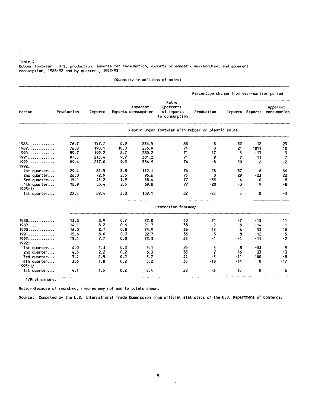Table 4 Rubber footwear: U.S. production, imports for consumption, exports of domestic merchandise, and apparent consumption, 1988·92 and by quarters, 1992-93

|            |         |                                 |                                                    | Percentage change from year-earlier period |  |                 |                      |  |
|------------|---------|---------------------------------|----------------------------------------------------|--------------------------------------------|--|-----------------|----------------------|--|
| Production | Imports | Apparent<br>Exports consumption | Ratio<br>(percent)<br>of imports<br>to consumption | Production                                 |  | Imports Exports | Apparent<br>consumpt |  |
|            |         |                                 | Fabric-upper footwear with rubber or plastic soles |                                            |  |                 |                      |  |

(Quantity in millions of pairs)

 $\mathbb{R}^2$ 

| Period                 | Production | Imports             |      | Apparent<br>Exports consumption | (percent)<br>of imports<br>to consumption          | Production     |                | Imports Exports | Apparent<br>consumption |  |  |
|------------------------|------------|---------------------|------|---------------------------------|----------------------------------------------------|----------------|----------------|-----------------|-------------------------|--|--|
|                        |            |                     |      |                                 | Fabric-upper footwear with rubber or plastic soles |                |                |                 |                         |  |  |
| 1988                   | 76.7       | 157.7               | 0.9  | 233.5                           | 68                                                 | 8              | 32             | 12              | 23                      |  |  |
| 1989                   | 76.8       | 190.1               | 10.0 | 256.9                           | 74                                                 | 0              | 21             | 1011            | 10                      |  |  |
| $1990$                 | 89.7       | 199.2               | 8.7  | 280.2                           | 71                                                 | 17             | 5              | $-13$           | 9                       |  |  |
| 1991                   | 97.5       | 213.4               | 9.7  | 301.2                           | 71                                                 | 9              | $\overline{7}$ | 11              | $\overline{7}$          |  |  |
| 1992<br>1992:          | 89.4       | 257.0               | 9.5  | 336.9                           | 76                                                 | -8             | 20             | -2              | 12 <sup>2</sup>         |  |  |
| $1st$ quarter          | 29.4       | 85.5                | 2.8  | 112.1                           | 76                                                 | 28             | 37             | 8               | 36                      |  |  |
| 2nd quarter            | 26.0       | 72.9                | 2.3  | 96.6                            | 75                                                 | 0              | 29             | $-23$           | 22                      |  |  |
| 3rd quarter            | 15.1       | 45.2                | 1.9  | 58.4                            | 77                                                 | $-33$          | 4              | 0               | -8                      |  |  |
| 4th quarter<br>1993:1/ | 18.9       | 53.4                | 2.5  | 69.8                            | 77                                                 | -28            | $-3$           | 9               | $-8$                    |  |  |
| 1st quarter            | 22.5       | 89.4                | 2.8  | 109.1                           | 82                                                 | $-23$          | 5              | 0               | -3                      |  |  |
|                        |            | Protective footwear |      |                                 |                                                    |                |                |                 |                         |  |  |
| 1988                   | 13.8       | 8.9                 | 0.7  | 22.0                            | 40                                                 | 24             | $-7$           | $-13$           | 11                      |  |  |
| 1989                   | 14.1       | 8.2                 | 0.6  | 21.7                            | 38                                                 | $\overline{c}$ | $-8$           | $-14$           | $-1$                    |  |  |
| 1990                   | 16.0       | 8.7                 | 0.8  | 23.9                            | 36                                                 | 13             | 6              | 33              | 10                      |  |  |
| 1991                   | 15.6       | 8.0                 | 0.9  | 22.7                            | 35                                                 | $-3$           | $-8$           | 12              | $-5$                    |  |  |
| 1992<br>1992:          | 15.4       | 7.7                 | 0.8  | 22.3                            | 35                                                 | $-1$           | $-4$           | $-11$           | $-2$                    |  |  |
| $1st$ quarter          | 4.0        | 1.3                 | 0.2  | 5.1                             | 25                                                 | 5              | 8              | $-33$           | 9                       |  |  |
| 2nd quarter            | 4.3        | 2.2                 | 0.2  | 6.3                             | 35                                                 | $\overline{7}$ | 16             | $-33$           | 13                      |  |  |
| 3rd quarter            | 3.4        | 2.5                 | 0.2  | 5.7                             | 44                                                 | $-3$           | $-11$          | 100             | $-8$                    |  |  |
| 4th quarter<br>1993:1/ | 3.6        | 1.8                 | 0.2  | 5.2                             | 35                                                 | $-18$          | $-14$          | O               | $-17$                   |  |  |
| 1st quarter            | 4.1        | 1.5                 | 0.2  | 5.4                             | 28                                                 | $-3$           | 15             | 0               | 6                       |  |  |

1/Prel iminary.

 $\overline{a}$ 

Note.--Because of rounding, figures may not add to totals shown.

Source: Compiled by the U.S. International Trade Commission from official statistics of the U.S. Department of Commerce.

 $\bar{\mathcal{A}}$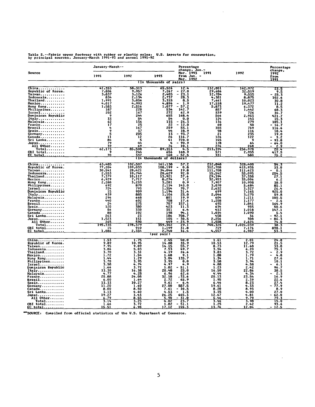| Table 5.--Fabric upper footwear with rubber or plastic soles: U.S. imports for consumption, |  |  |  |
|---------------------------------------------------------------------------------------------|--|--|--|
| by principal sources, January-March 1991-93 and annual 1991-92                              |  |  |  |

|                                                                                                                         | January-March-+   |                  |                         | Percentage<br>change, Jan.-                                   |                  |                  | Percentage<br>change, |  |
|-------------------------------------------------------------------------------------------------------------------------|-------------------|------------------|-------------------------|---------------------------------------------------------------|------------------|------------------|-----------------------|--|
| Source                                                                                                                  | 1991              | 1992             | 1993                    | Mar. 1993<br>from Jan. -<br>Mar. 1992                         | 1991             | 1992             | 1992<br>from<br>1991  |  |
|                                                                                                                         |                   |                  | (In thousands of pairs) |                                                               |                  |                  |                       |  |
| China                                                                                                                   | 41,353            | 58,313<br>9,957  | 65,526<br>7,267         | 12.4                                                          | 132,001          | 162,972          | 23.5                  |  |
| Republic of Korea.<br>Taiwan                                                                                            | 7,806<br>3,837    | 3,126            | 2,405                   | 27.0<br>$\overline{\phantom{a}}$<br>23.1<br>$\qquad \qquad -$ | 29,686<br>12,784 | 32,519<br>9,555  | 9.5<br>25.3           |  |
| Indonesia                                                                                                               | 834               | 2,134            | 2,737                   | 28.3                                                          | 4,381            | 8,875            | 102.6                 |  |
| Thailand <i></i> .                                                                                                      | 1,991             | 3,056            | 3,315                   | 8.5                                                           | 7,661            | 10,023           | 30.8                  |  |
| <b>Mexico</b>                                                                                                           | 4,017             | 4,993            | 4,896                   | 1.9                                                           | 17,518           | 19,477           | 11.2                  |  |
| Hong Kong                                                                                                               | 1,583             | 2,516            | 1,077                   | 57.2                                                          | 5,873            | 6,372            | 8.5                   |  |
| Philippines<br>Israel                                                                                                   | 187<br>202        | 220<br>167       | 534<br>272              | 142.7<br>62.9                                                 | 857<br>539       | 1,442<br>726     | 68.3                  |  |
| Dominican Republic                                                                                                      | 9                 | 244              | 655                     | 168.4                                                         | 566              | 2,953            | 34.7<br>421.7         |  |
| Italy                                                                                                                   | 33                | 54               | 54                      | O.O                                                           | 124              | 143              | 15.3                  |  |
| Malaysia                                                                                                                | 62                | 156              | 115                     | 26.3                                                          | 136              | 279              | 105.1                 |  |
| France                                                                                                                  | 17                | 25               | 22                      | $\overline{\phantom{0}}$<br>12.0                              | 60               | 50               | - 16.7                |  |
| Brazil                                                                                                                  | $\mathbf{G}$<br>9 | 167              | 259<br>44               | 55.1                                                          | 355<br>98        | 769              | 116.6                 |  |
| Spain                                                                                                                   | 5                 | 37<br>205        | 13                      | 18.9<br>$-93.7$                                               | 21               | 116<br>235       | 18.4<br>19.0          |  |
| Germany<br>Canada                                                                                                       | 11                | 12               | 26                      | 116.7                                                         | 126              | 122              | 3.2                   |  |
| Sri Lanka                                                                                                               | 84                | 5                | 41                      | 720.0                                                         | 145              | 9                | 93.8                  |  |
| Japan                                                                                                                   | 79                | 44               | 4                       | - 90.9                                                        | 178              | 64               | 64.0                  |  |
| <b>All Other</b>                                                                                                        | 39                | 69               |                         | 10.1                                                          | 276              | 268              | 2.9                   |  |
| $\begin{array}{c} \text{Total} \dots \dots \dots \dots \\ \text{CBI} \text{ total} \dots \dots \dots \dots \end{array}$ | 62,173<br>۰       | 85,508<br>244    | 89.353<br>656           | $5 - 5$                                                       | 213,394          | 256,978          | 20.4                  |  |
| <u> EC total</u>                                                                                                        | 70                | 337              | 160                     | 168.9<br><u>- 52.5</u>                                        | 571<br>331       | 2,955<br>580     | 417.5<br>75.2         |  |
|                                                                                                                         |                   | (In              | thousands of dollars)   |                                                               |                  |                  |                       |  |
| China                                                                                                                   | 63,485            | 102,507          | 161,138                 | 57.2                                                          | 212,848          | 328,400          |                       |  |
| Republic of Korea.                                                                                                      | 77,204            | 109,033          | 108,199                 | 0.8                                                           | 312,708          | 415,935          | $\frac{54.3}{33.0}$   |  |
| Taiwan                                                                                                                  | 30,541            | 28,421           | 34,046                  | 19.8                                                          | 111,708          | 111,623          | 0.1                   |  |
| Indonesia<br>Thailand                                                                                                   | 2,553<br>7,379    | 10,744<br>10,117 | 20,629<br>13,921        | 92.0<br>37.6                                                  | 15,542           | 55,095<br>37,358 | 254.5<br>27.1         |  |
| Mexico                                                                                                                  | 6,929             | 7,717            | 8,274                   | 7.2                                                           | 29,394<br>32,953 | 35,006           | 6.2                   |  |
| Hong Kong                                                                                                               | 2,288             | 3,253            | 3,281                   | 0.9                                                           | 7,907            | 10,908           | 38.0                  |  |
| Philippines                                                                                                             | 692               | 870              | 2,114                   | 143.0                                                         | 3,070            | 5,684            | 85.1                  |  |
| Israel.                                                                                                                 | 724               | 793              | 1,354                   | 70.7                                                          | 2,632            | 3,327            | 26.4                  |  |
| Dominican Republic                                                                                                      | 15                | 909              | 1,194                   | 31.4<br>25.0                                                  | 699              | 7,165            | 925.0                 |  |
| Italy<br>Malaysia                                                                                                       | 439<br>296        | 885<br>668       | 1,106<br>801            | 19.9                                                          | 2,046<br>604     | 3,270<br>1,211   | 59.8<br>100.5         |  |
| France                                                                                                                  | 440               | 602              | 708                     | 17.6                                                          | 1,208            | 1,177            | 2.6                   |  |
| <b>Brazil</b>                                                                                                           | 24                | 275              | 707                     | 157.1                                                         | 695              | 1,841            | 164.9                 |  |
| <b>Spain</b>                                                                                                            | 120               | 380              | 423                     | 11.3                                                          | 634              | 955              | 50.6                  |  |
| Germany                                                                                                                 | 56<br>88          | 330<br>102       | 351<br>198              | 6.4<br>94.1                                                   | 412<br>1,034     | 1.018            | 147.1                 |  |
| Canada<br>Sri Lanka                                                                                                     | 263               | 23               | 186                     | 708.7                                                         | 458              | 1,090<br>36      | 5.4<br>92.1           |  |
| Japan                                                                                                                   | 1,523             | 151              | 105                     | 30.5<br>-                                                     | 2,256            | 308              | $-86.3$               |  |
| All Other                                                                                                               |                   | 590              | 449                     | 23.9                                                          | 1,508            | 2,624            | 74.0                  |  |
| Total                                                                                                                   | 265<br>195,335    | 278,379          | 359,342                 | 29.1                                                          | 740,325          | 1,024,039        | 38.3                  |  |
| <b>CBI total</b><br><u> EC total</u>                                                                                    | 15<br>1,086       | 910<br>2,354     | 1,199<br>2,740          | 31.8<br><u>16.4</u>                                           | 719<br>4,557     | 7,176<br>6,987   | 898.1<br>53.3         |  |
|                                                                                                                         |                   |                  | (per pair)              |                                                               |                  |                  |                       |  |
| China                                                                                                                   | 1.53              | 1.75             | 2.45                    | 40.0                                                          | 1.61             | 2.01             | 24.8                  |  |
| Republic of Korea.                                                                                                      | 9.89              | 10.95            | 14.88                   | 35.9                                                          | 10.53            | 12.79            | 21.5                  |  |
| Taiwan                                                                                                                  | 7.95              | 9.09             | 14.15                   | 55.7                                                          | 8.73             | 11.68            | 33.8                  |  |
| Indonesia                                                                                                               | 3.06              | 5.03             | 7.53                    | 49.7                                                          | 3.54             | 6.20             | 75.1                  |  |
| Thailand<br>Mexico                                                                                                      | 3.70<br>1.72      | 3.31<br>1.54     | 4.19<br>1.68            | 26.6<br>9.1                                                   | 3.83<br>1.88     | 3.72<br>1.79     | 2.9<br>4.8            |  |
| Hong Kong                                                                                                               | 1.44              | 1.29             | 3.04                    | 135.7                                                         | 1.34             | 1.71             | 27.6                  |  |
| Philippines                                                                                                             | 3.70              | 3.95             | 3.95                    | 0.0                                                           | 3.58             | 3.94             | 10.1                  |  |
| Israel                                                                                                                  | 3.58              | 4.74             | 4.97                    | 4.9                                                           | 4.88             | 4.58             | 6.1                   |  |
| Dominican Republic                                                                                                      | 1.66              | 3.72             | 1.82                    | 51.1                                                          | 1.23             | 2.42             | 96.7                  |  |
| Italy<br>Malaysia                                                                                                       | 13.30<br>4.77     | 16.38<br>4.28    | 20.48<br>6.96           | 25.0<br>62.6                                                  | 16.50<br>4.44    | 22.86            | 38.5                  |  |
| France                                                                                                                  | 25.88             | 24.08            | 32.18                   | , 33.6                                                        | 20.13            | 4.34<br>23.54    | 2.3<br>16.9           |  |
| Brazil                                                                                                                  | 6.00              | 1.64             | 2.72                    | 65.9                                                          | 1.95             | 2.39             | 22.6                  |  |
| Spain                                                                                                                   | 13.33             | 10.27            | 9.61                    | 6.4                                                           | 6.46             | 8.23             | 27.4                  |  |
| Germany                                                                                                                 | 11.20             | 1.60             | 27.00                   | 587.5                                                         | 19.61            | 4.33             | 77.9                  |  |
| Canada                                                                                                                  | 8.00              | 8.50             | 7.61                    | - 10.5                                                        | 8.20             | 8.93             | 8.9                   |  |
| Sri Lanka                                                                                                               | 3.13<br>19.27     | 4.60<br>3.43     | 4.53<br>26.25           | 1.5<br>665.3                                                  | 3.15<br>12.67    | 4.00<br>4.81     | 27.0<br>62.0          |  |
| Japan<br>All Other                                                                                                      | 6.79              | 8.55             | 5.90                    | 31.0                                                          | 5.46             | 9.79             | 79.3                  |  |
| Total                                                                                                                   | 3.14              | 3.25             | 4.02                    | 23.7                                                          | 3.46             | 3.98             | 15.0                  |  |
| CBI total                                                                                                               | 1.66              | 3.72             | 1.82                    | $-51.1$                                                       | 1.25             | 2.42             | 93.6                  |  |
| <u>EC_total</u>                                                                                                         | 15.51             | 6.98             | 17.12                   | 145.3                                                         | 13.76            | 12.04            | Ξ.<br>12.5            |  |

 $\sim$ 

-soURCEt Compiled from official statistics of the U.S. Department of Commerce.

 $\bar{\mathcal{A}}$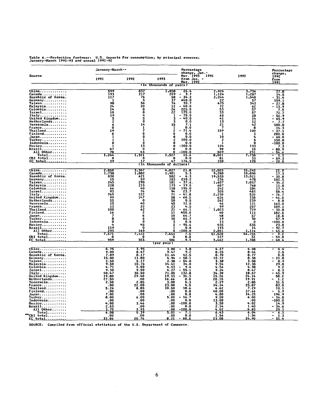### Table 6.--Protective footwear• U.S. imports for consumption, by principal sources, January-March 1991-93 and annual 1991-92

| change, Jan.-<br>Mar. 1993 1991<br>Source<br>1993<br>1991<br>1992<br>from Jan. -<br>Mar. 1992<br>(In thousands of pairs)<br>599<br>837<br>$China$<br>1,058<br>26.4<br>2,924<br>193<br>217<br>209<br>3.7<br>1,124<br>$\bullet$<br>Canada<br>$-34.2$<br>50<br>Republic of Korea.<br>117<br>76<br>2,244<br>5<br>37<br>640.0<br>22<br>Germany<br>ı<br>98<br>56<br>76<br>35.7<br>475<br>Taiwan<br>24<br>20<br>$-40.0$<br>$\frac{7}{2}$<br>Malaysia<br>12<br>Colombia<br>14<br>8<br>225.0<br>$26$<br>22<br>175.0<br>8<br>Israel<br>10<br>33<br>19<br>$\mathbf{1}$<br>4<br>- 75.0<br>65<br>Italy<br>United Kingdom<br>$-40.0$<br>5<br>5<br>3<br>41<br>$\overline{\mathbf{c}}$<br>$\mathbf o$<br>0.0<br>13<br>Netherlands<br>3<br>Venezuela<br>6<br>14<br>15<br>7.1<br>21<br>0.0<br>$\mathbf o$<br>п<br>1<br>France<br>Thailand<br>19<br>2<br>71.4<br>159<br>n<br>0.0<br>Finland<br>o<br>n<br>1<br>$\mathbf o$<br>Japan<br>1<br>o<br>o.o<br>10<br>100.0<br>$Turkey$<br>ı<br>1<br>2<br>Indonesia<br>$\bullet$<br>$\mathbf o$<br>$\mathbf o$<br>0.0<br>1<br>Mexico<br>13<br>-100.0<br>124<br>1<br>Ω<br>Brazil<br>o<br>0.0<br>47<br>ο<br>۰n<br>-100.0<br>All Other<br>78<br>43<br>509<br>o<br>Total<br>1,244<br>1,527<br>1,321<br>15.6<br>8,001<br>CBI total<br>$\bullet$<br>$\bullet$<br>0.0<br>o<br>81<br>29<br>47<br>176.5<br>150<br>EC total<br>17<br>(In thousands of dollars)<br>China<br>2,850<br>3,307<br>4,027<br>21.8<br>12,503<br>1,882<br>1,738<br>1,981<br>9,280<br>Canada<br>5.3<br>Republic of Korea.<br>830<br>$rac{621}{59}$<br>582<br>6.3<br>19,535<br>210.2<br>15<br>Germany<br>183<br>236<br>Taiwan<br>290<br>245<br>181<br>$-37.6$<br>1,607<br>228<br>$-19.5$<br>Malaysia<br>215<br>173<br>687<br>Colombia<br>40<br>118<br>195.0<br>66<br>242<br>93<br>76<br>Israel<br>94<br>23.7<br>305<br>71<br>769<br>122<br>$-41.8$<br>$Itally$<br>2,230<br>58<br>United Kingdom<br>99<br>147<br>- 60.5<br>626<br>55<br>$\mathbf o$<br>50<br>0.0<br>Netherlands<br>262<br>40<br>Venezuela<br>15<br>45<br>12.5<br>46<br>13<br>22<br>23<br>99<br>France<br>4.5<br>t.<br>Thailand<br>21<br>100<br>62<br>66.1<br>1,053<br>$\mathbf{u}$<br>$\overline{c}$<br>Finland<br>450.0<br>16<br>40<br>Japan<br>7<br>6<br>10<br>66.7<br>48<br>8<br>6<br>10<br>66.7<br>Turkey<br>19<br>Indonesia<br>o<br>o<br>з<br>0.0<br>13<br>95.6<br>45<br>$Mexico$<br>4<br>2<br>435<br>$\Omega$<br>Brazil<br>119<br>0.0<br>193<br>ı<br>-100.0<br>All Other<br>293<br>69<br>o<br>2,051<br>Total<br>7,571<br>7,653<br>7,122<br>51,520<br>7.5<br>CBI total<br>Ω<br>$\mathbf 0$<br>0.0<br>127<br>O<br>959<br>353<br>386<br>9.3<br>EC total<br>3,462<br>(per pair)<br>3.95<br>China<br>4.75<br>3.80<br>$\frac{3.8}{9.2}$<br>4.27<br>9.47<br>$\frac{8.25}{8.70}$<br>9.00<br>8.67<br>Canada<br>Republic of Korea.<br>7.09<br>8.17<br>11.64<br>42.5<br>15.00<br>11.80<br>4.94<br>58.1<br>Germany<br>10.72<br>$\tilde{\phantom{a}}$<br>2.50<br>5.17<br>2.38<br>54.0<br>3.38<br>Taiwan<br>Malaysia<br>9.50<br>10.75<br>34.0<br>14.41<br>9.54<br>Colombia<br>4.71<br>5.00<br>4.53<br>9.4<br>4.56<br>9.50<br>4.27<br>$-55.1$<br>Israel<br>9.24<br>9.30<br>40.47<br>30.50<br>71.00<br>132.8<br>34.30<br>Italy<br>United_Kingdom<br>19.80<br>29.40<br>19.33<br>15.26<br>- 34.3<br>27.50<br>.00<br>0.0<br>20.15<br>Netherlands<br>16.66<br>2.50<br>2.85<br>Venezuela<br>3.00<br>5.3<br>2.19<br>$\begin{array}{ll}\n\texttt{France}.\dots.\dots.\dots.\n\texttt{Theiland}.\dots.\dots.\dots\n\end{array}$<br>22.00<br>23.00<br>4.5<br>. 00<br>14.14<br>5.26<br>10.50<br>18.6<br>8.85<br>6.62<br>Finland<br>. 00<br>.00<br>.00<br>0.0<br>40.00<br>7.00<br>.00<br>0.0<br>Japan<br>.00<br>4.80<br>5.00<br>Turkey<br>8.00<br>6.00<br>16.7<br>9.50<br>Indonesia<br>.00<br>.00<br>.00<br>0.0<br>13.00<br>$-100.0$<br>4.00<br>3.50<br>Mexico<br>3.46<br>.00 |                  | Percentage<br>change,<br>1992 |  |
|--------------------------------------------------------------------------------------------------------------------------------------------------------------------------------------------------------------------------------------------------------------------------------------------------------------------------------------------------------------------------------------------------------------------------------------------------------------------------------------------------------------------------------------------------------------------------------------------------------------------------------------------------------------------------------------------------------------------------------------------------------------------------------------------------------------------------------------------------------------------------------------------------------------------------------------------------------------------------------------------------------------------------------------------------------------------------------------------------------------------------------------------------------------------------------------------------------------------------------------------------------------------------------------------------------------------------------------------------------------------------------------------------------------------------------------------------------------------------------------------------------------------------------------------------------------------------------------------------------------------------------------------------------------------------------------------------------------------------------------------------------------------------------------------------------------------------------------------------------------------------------------------------------------------------------------------------------------------------------------------------------------------------------------------------------------------------------------------------------------------------------------------------------------------------------------------------------------------------------------------------------------------------------------------------------------------------------------------------------------------------------------------------------------------------------------------------------------------------------------------------------------------------------------------------------------------------------------------------------------------------------------------------------------------------------------------------------------------------------------------------------------------------------------------------------------------------------------------------------------------------------------------------------------------------------------------------------------------------------------------------------------------------------------------------------------------------------------------------------------------------------------------------------------------------------------------------------------------------------------------------------------------------------------------------------------------------------------------------------------------------------------------------------------------------------------------------------------------------------------------------------------------------------------------------------------------------------------------------------------------------------------------------------------------------------------------------------------------------------------------------------------------------------------------------------|------------------|-------------------------------|--|
|                                                                                                                                                                                                                                                                                                                                                                                                                                                                                                                                                                                                                                                                                                                                                                                                                                                                                                                                                                                                                                                                                                                                                                                                                                                                                                                                                                                                                                                                                                                                                                                                                                                                                                                                                                                                                                                                                                                                                                                                                                                                                                                                                                                                                                                                                                                                                                                                                                                                                                                                                                                                                                                                                                                                                                                                                                                                                                                                                                                                                                                                                                                                                                                                                                                                                                                                                                                                                                                                                                                                                                                                                                                                                                                                                                                                        | 1992             | from<br>1991                  |  |
|                                                                                                                                                                                                                                                                                                                                                                                                                                                                                                                                                                                                                                                                                                                                                                                                                                                                                                                                                                                                                                                                                                                                                                                                                                                                                                                                                                                                                                                                                                                                                                                                                                                                                                                                                                                                                                                                                                                                                                                                                                                                                                                                                                                                                                                                                                                                                                                                                                                                                                                                                                                                                                                                                                                                                                                                                                                                                                                                                                                                                                                                                                                                                                                                                                                                                                                                                                                                                                                                                                                                                                                                                                                                                                                                                                                                        |                  |                               |  |
|                                                                                                                                                                                                                                                                                                                                                                                                                                                                                                                                                                                                                                                                                                                                                                                                                                                                                                                                                                                                                                                                                                                                                                                                                                                                                                                                                                                                                                                                                                                                                                                                                                                                                                                                                                                                                                                                                                                                                                                                                                                                                                                                                                                                                                                                                                                                                                                                                                                                                                                                                                                                                                                                                                                                                                                                                                                                                                                                                                                                                                                                                                                                                                                                                                                                                                                                                                                                                                                                                                                                                                                                                                                                                                                                                                                                        | 3,736            | 27.8                          |  |
|                                                                                                                                                                                                                                                                                                                                                                                                                                                                                                                                                                                                                                                                                                                                                                                                                                                                                                                                                                                                                                                                                                                                                                                                                                                                                                                                                                                                                                                                                                                                                                                                                                                                                                                                                                                                                                                                                                                                                                                                                                                                                                                                                                                                                                                                                                                                                                                                                                                                                                                                                                                                                                                                                                                                                                                                                                                                                                                                                                                                                                                                                                                                                                                                                                                                                                                                                                                                                                                                                                                                                                                                                                                                                                                                                                                                        | 1,287<br>1,540   | 14.5                          |  |
|                                                                                                                                                                                                                                                                                                                                                                                                                                                                                                                                                                                                                                                                                                                                                                                                                                                                                                                                                                                                                                                                                                                                                                                                                                                                                                                                                                                                                                                                                                                                                                                                                                                                                                                                                                                                                                                                                                                                                                                                                                                                                                                                                                                                                                                                                                                                                                                                                                                                                                                                                                                                                                                                                                                                                                                                                                                                                                                                                                                                                                                                                                                                                                                                                                                                                                                                                                                                                                                                                                                                                                                                                                                                                                                                                                                                        | 57               | 31.4<br>159.1                 |  |
|                                                                                                                                                                                                                                                                                                                                                                                                                                                                                                                                                                                                                                                                                                                                                                                                                                                                                                                                                                                                                                                                                                                                                                                                                                                                                                                                                                                                                                                                                                                                                                                                                                                                                                                                                                                                                                                                                                                                                                                                                                                                                                                                                                                                                                                                                                                                                                                                                                                                                                                                                                                                                                                                                                                                                                                                                                                                                                                                                                                                                                                                                                                                                                                                                                                                                                                                                                                                                                                                                                                                                                                                                                                                                                                                                                                                        | 343              | $-27.8$                       |  |
|                                                                                                                                                                                                                                                                                                                                                                                                                                                                                                                                                                                                                                                                                                                                                                                                                                                                                                                                                                                                                                                                                                                                                                                                                                                                                                                                                                                                                                                                                                                                                                                                                                                                                                                                                                                                                                                                                                                                                                                                                                                                                                                                                                                                                                                                                                                                                                                                                                                                                                                                                                                                                                                                                                                                                                                                                                                                                                                                                                                                                                                                                                                                                                                                                                                                                                                                                                                                                                                                                                                                                                                                                                                                                                                                                                                                        | 62               | 13.9                          |  |
|                                                                                                                                                                                                                                                                                                                                                                                                                                                                                                                                                                                                                                                                                                                                                                                                                                                                                                                                                                                                                                                                                                                                                                                                                                                                                                                                                                                                                                                                                                                                                                                                                                                                                                                                                                                                                                                                                                                                                                                                                                                                                                                                                                                                                                                                                                                                                                                                                                                                                                                                                                                                                                                                                                                                                                                                                                                                                                                                                                                                                                                                                                                                                                                                                                                                                                                                                                                                                                                                                                                                                                                                                                                                                                                                                                                                        | 57<br>57         | 7.5<br>72.7                   |  |
|                                                                                                                                                                                                                                                                                                                                                                                                                                                                                                                                                                                                                                                                                                                                                                                                                                                                                                                                                                                                                                                                                                                                                                                                                                                                                                                                                                                                                                                                                                                                                                                                                                                                                                                                                                                                                                                                                                                                                                                                                                                                                                                                                                                                                                                                                                                                                                                                                                                                                                                                                                                                                                                                                                                                                                                                                                                                                                                                                                                                                                                                                                                                                                                                                                                                                                                                                                                                                                                                                                                                                                                                                                                                                                                                                                                                        | 28               | - 56.9                        |  |
|                                                                                                                                                                                                                                                                                                                                                                                                                                                                                                                                                                                                                                                                                                                                                                                                                                                                                                                                                                                                                                                                                                                                                                                                                                                                                                                                                                                                                                                                                                                                                                                                                                                                                                                                                                                                                                                                                                                                                                                                                                                                                                                                                                                                                                                                                                                                                                                                                                                                                                                                                                                                                                                                                                                                                                                                                                                                                                                                                                                                                                                                                                                                                                                                                                                                                                                                                                                                                                                                                                                                                                                                                                                                                                                                                                                                        | 14               | 65.9                          |  |
|                                                                                                                                                                                                                                                                                                                                                                                                                                                                                                                                                                                                                                                                                                                                                                                                                                                                                                                                                                                                                                                                                                                                                                                                                                                                                                                                                                                                                                                                                                                                                                                                                                                                                                                                                                                                                                                                                                                                                                                                                                                                                                                                                                                                                                                                                                                                                                                                                                                                                                                                                                                                                                                                                                                                                                                                                                                                                                                                                                                                                                                                                                                                                                                                                                                                                                                                                                                                                                                                                                                                                                                                                                                                                                                                                                                                        | 12<br>42         | 7.7                           |  |
|                                                                                                                                                                                                                                                                                                                                                                                                                                                                                                                                                                                                                                                                                                                                                                                                                                                                                                                                                                                                                                                                                                                                                                                                                                                                                                                                                                                                                                                                                                                                                                                                                                                                                                                                                                                                                                                                                                                                                                                                                                                                                                                                                                                                                                                                                                                                                                                                                                                                                                                                                                                                                                                                                                                                                                                                                                                                                                                                                                                                                                                                                                                                                                                                                                                                                                                                                                                                                                                                                                                                                                                                                                                                                                                                                                                                        | 8                | 100.0<br>14.3                 |  |
|                                                                                                                                                                                                                                                                                                                                                                                                                                                                                                                                                                                                                                                                                                                                                                                                                                                                                                                                                                                                                                                                                                                                                                                                                                                                                                                                                                                                                                                                                                                                                                                                                                                                                                                                                                                                                                                                                                                                                                                                                                                                                                                                                                                                                                                                                                                                                                                                                                                                                                                                                                                                                                                                                                                                                                                                                                                                                                                                                                                                                                                                                                                                                                                                                                                                                                                                                                                                                                                                                                                                                                                                                                                                                                                                                                                                        | 100              | - 37.1                        |  |
|                                                                                                                                                                                                                                                                                                                                                                                                                                                                                                                                                                                                                                                                                                                                                                                                                                                                                                                                                                                                                                                                                                                                                                                                                                                                                                                                                                                                                                                                                                                                                                                                                                                                                                                                                                                                                                                                                                                                                                                                                                                                                                                                                                                                                                                                                                                                                                                                                                                                                                                                                                                                                                                                                                                                                                                                                                                                                                                                                                                                                                                                                                                                                                                                                                                                                                                                                                                                                                                                                                                                                                                                                                                                                                                                                                                                        | 3                | 200.0                         |  |
|                                                                                                                                                                                                                                                                                                                                                                                                                                                                                                                                                                                                                                                                                                                                                                                                                                                                                                                                                                                                                                                                                                                                                                                                                                                                                                                                                                                                                                                                                                                                                                                                                                                                                                                                                                                                                                                                                                                                                                                                                                                                                                                                                                                                                                                                                                                                                                                                                                                                                                                                                                                                                                                                                                                                                                                                                                                                                                                                                                                                                                                                                                                                                                                                                                                                                                                                                                                                                                                                                                                                                                                                                                                                                                                                                                                                        | 4<br>5           | - 60.0<br>150.0               |  |
|                                                                                                                                                                                                                                                                                                                                                                                                                                                                                                                                                                                                                                                                                                                                                                                                                                                                                                                                                                                                                                                                                                                                                                                                                                                                                                                                                                                                                                                                                                                                                                                                                                                                                                                                                                                                                                                                                                                                                                                                                                                                                                                                                                                                                                                                                                                                                                                                                                                                                                                                                                                                                                                                                                                                                                                                                                                                                                                                                                                                                                                                                                                                                                                                                                                                                                                                                                                                                                                                                                                                                                                                                                                                                                                                                                                                        | $\overline{0}$   | $-100.0$                      |  |
|                                                                                                                                                                                                                                                                                                                                                                                                                                                                                                                                                                                                                                                                                                                                                                                                                                                                                                                                                                                                                                                                                                                                                                                                                                                                                                                                                                                                                                                                                                                                                                                                                                                                                                                                                                                                                                                                                                                                                                                                                                                                                                                                                                                                                                                                                                                                                                                                                                                                                                                                                                                                                                                                                                                                                                                                                                                                                                                                                                                                                                                                                                                                                                                                                                                                                                                                                                                                                                                                                                                                                                                                                                                                                                                                                                                                        | 133              | 7.3                           |  |
|                                                                                                                                                                                                                                                                                                                                                                                                                                                                                                                                                                                                                                                                                                                                                                                                                                                                                                                                                                                                                                                                                                                                                                                                                                                                                                                                                                                                                                                                                                                                                                                                                                                                                                                                                                                                                                                                                                                                                                                                                                                                                                                                                                                                                                                                                                                                                                                                                                                                                                                                                                                                                                                                                                                                                                                                                                                                                                                                                                                                                                                                                                                                                                                                                                                                                                                                                                                                                                                                                                                                                                                                                                                                                                                                                                                                        | 10               | 88.9                          |  |
|                                                                                                                                                                                                                                                                                                                                                                                                                                                                                                                                                                                                                                                                                                                                                                                                                                                                                                                                                                                                                                                                                                                                                                                                                                                                                                                                                                                                                                                                                                                                                                                                                                                                                                                                                                                                                                                                                                                                                                                                                                                                                                                                                                                                                                                                                                                                                                                                                                                                                                                                                                                                                                                                                                                                                                                                                                                                                                                                                                                                                                                                                                                                                                                                                                                                                                                                                                                                                                                                                                                                                                                                                                                                                                                                                                                                        | 231<br>7,738     | $-54.6$                       |  |
|                                                                                                                                                                                                                                                                                                                                                                                                                                                                                                                                                                                                                                                                                                                                                                                                                                                                                                                                                                                                                                                                                                                                                                                                                                                                                                                                                                                                                                                                                                                                                                                                                                                                                                                                                                                                                                                                                                                                                                                                                                                                                                                                                                                                                                                                                                                                                                                                                                                                                                                                                                                                                                                                                                                                                                                                                                                                                                                                                                                                                                                                                                                                                                                                                                                                                                                                                                                                                                                                                                                                                                                                                                                                                                                                                                                                        | 33               | 3.3<br>$-59.3$                |  |
|                                                                                                                                                                                                                                                                                                                                                                                                                                                                                                                                                                                                                                                                                                                                                                                                                                                                                                                                                                                                                                                                                                                                                                                                                                                                                                                                                                                                                                                                                                                                                                                                                                                                                                                                                                                                                                                                                                                                                                                                                                                                                                                                                                                                                                                                                                                                                                                                                                                                                                                                                                                                                                                                                                                                                                                                                                                                                                                                                                                                                                                                                                                                                                                                                                                                                                                                                                                                                                                                                                                                                                                                                                                                                                                                                                                                        | 120              | - 20.0                        |  |
|                                                                                                                                                                                                                                                                                                                                                                                                                                                                                                                                                                                                                                                                                                                                                                                                                                                                                                                                                                                                                                                                                                                                                                                                                                                                                                                                                                                                                                                                                                                                                                                                                                                                                                                                                                                                                                                                                                                                                                                                                                                                                                                                                                                                                                                                                                                                                                                                                                                                                                                                                                                                                                                                                                                                                                                                                                                                                                                                                                                                                                                                                                                                                                                                                                                                                                                                                                                                                                                                                                                                                                                                                                                                                                                                                                                                        |                  |                               |  |
|                                                                                                                                                                                                                                                                                                                                                                                                                                                                                                                                                                                                                                                                                                                                                                                                                                                                                                                                                                                                                                                                                                                                                                                                                                                                                                                                                                                                                                                                                                                                                                                                                                                                                                                                                                                                                                                                                                                                                                                                                                                                                                                                                                                                                                                                                                                                                                                                                                                                                                                                                                                                                                                                                                                                                                                                                                                                                                                                                                                                                                                                                                                                                                                                                                                                                                                                                                                                                                                                                                                                                                                                                                                                                                                                                                                                        | 15,245           | 21.9                          |  |
|                                                                                                                                                                                                                                                                                                                                                                                                                                                                                                                                                                                                                                                                                                                                                                                                                                                                                                                                                                                                                                                                                                                                                                                                                                                                                                                                                                                                                                                                                                                                                                                                                                                                                                                                                                                                                                                                                                                                                                                                                                                                                                                                                                                                                                                                                                                                                                                                                                                                                                                                                                                                                                                                                                                                                                                                                                                                                                                                                                                                                                                                                                                                                                                                                                                                                                                                                                                                                                                                                                                                                                                                                                                                                                                                                                                                        | 10,890<br>13,521 | 17.3<br>30.8                  |  |
|                                                                                                                                                                                                                                                                                                                                                                                                                                                                                                                                                                                                                                                                                                                                                                                                                                                                                                                                                                                                                                                                                                                                                                                                                                                                                                                                                                                                                                                                                                                                                                                                                                                                                                                                                                                                                                                                                                                                                                                                                                                                                                                                                                                                                                                                                                                                                                                                                                                                                                                                                                                                                                                                                                                                                                                                                                                                                                                                                                                                                                                                                                                                                                                                                                                                                                                                                                                                                                                                                                                                                                                                                                                                                                                                                                                                        | 478              | 102.5                         |  |
|                                                                                                                                                                                                                                                                                                                                                                                                                                                                                                                                                                                                                                                                                                                                                                                                                                                                                                                                                                                                                                                                                                                                                                                                                                                                                                                                                                                                                                                                                                                                                                                                                                                                                                                                                                                                                                                                                                                                                                                                                                                                                                                                                                                                                                                                                                                                                                                                                                                                                                                                                                                                                                                                                                                                                                                                                                                                                                                                                                                                                                                                                                                                                                                                                                                                                                                                                                                                                                                                                                                                                                                                                                                                                                                                                                                                        | 1,057            | 34.2                          |  |
|                                                                                                                                                                                                                                                                                                                                                                                                                                                                                                                                                                                                                                                                                                                                                                                                                                                                                                                                                                                                                                                                                                                                                                                                                                                                                                                                                                                                                                                                                                                                                                                                                                                                                                                                                                                                                                                                                                                                                                                                                                                                                                                                                                                                                                                                                                                                                                                                                                                                                                                                                                                                                                                                                                                                                                                                                                                                                                                                                                                                                                                                                                                                                                                                                                                                                                                                                                                                                                                                                                                                                                                                                                                                                                                                                                                                        | 768              | 11.8                          |  |
|                                                                                                                                                                                                                                                                                                                                                                                                                                                                                                                                                                                                                                                                                                                                                                                                                                                                                                                                                                                                                                                                                                                                                                                                                                                                                                                                                                                                                                                                                                                                                                                                                                                                                                                                                                                                                                                                                                                                                                                                                                                                                                                                                                                                                                                                                                                                                                                                                                                                                                                                                                                                                                                                                                                                                                                                                                                                                                                                                                                                                                                                                                                                                                                                                                                                                                                                                                                                                                                                                                                                                                                                                                                                                                                                                                                                        | 284<br>483       | 17.4<br>58.4                  |  |
|                                                                                                                                                                                                                                                                                                                                                                                                                                                                                                                                                                                                                                                                                                                                                                                                                                                                                                                                                                                                                                                                                                                                                                                                                                                                                                                                                                                                                                                                                                                                                                                                                                                                                                                                                                                                                                                                                                                                                                                                                                                                                                                                                                                                                                                                                                                                                                                                                                                                                                                                                                                                                                                                                                                                                                                                                                                                                                                                                                                                                                                                                                                                                                                                                                                                                                                                                                                                                                                                                                                                                                                                                                                                                                                                                                                                        | 520              | 76.7                          |  |
|                                                                                                                                                                                                                                                                                                                                                                                                                                                                                                                                                                                                                                                                                                                                                                                                                                                                                                                                                                                                                                                                                                                                                                                                                                                                                                                                                                                                                                                                                                                                                                                                                                                                                                                                                                                                                                                                                                                                                                                                                                                                                                                                                                                                                                                                                                                                                                                                                                                                                                                                                                                                                                                                                                                                                                                                                                                                                                                                                                                                                                                                                                                                                                                                                                                                                                                                                                                                                                                                                                                                                                                                                                                                                                                                                                                                        | 338              | 46.0                          |  |
|                                                                                                                                                                                                                                                                                                                                                                                                                                                                                                                                                                                                                                                                                                                                                                                                                                                                                                                                                                                                                                                                                                                                                                                                                                                                                                                                                                                                                                                                                                                                                                                                                                                                                                                                                                                                                                                                                                                                                                                                                                                                                                                                                                                                                                                                                                                                                                                                                                                                                                                                                                                                                                                                                                                                                                                                                                                                                                                                                                                                                                                                                                                                                                                                                                                                                                                                                                                                                                                                                                                                                                                                                                                                                                                                                                                                        | 239<br>121       | 8.8<br>163.0                  |  |
|                                                                                                                                                                                                                                                                                                                                                                                                                                                                                                                                                                                                                                                                                                                                                                                                                                                                                                                                                                                                                                                                                                                                                                                                                                                                                                                                                                                                                                                                                                                                                                                                                                                                                                                                                                                                                                                                                                                                                                                                                                                                                                                                                                                                                                                                                                                                                                                                                                                                                                                                                                                                                                                                                                                                                                                                                                                                                                                                                                                                                                                                                                                                                                                                                                                                                                                                                                                                                                                                                                                                                                                                                                                                                                                                                                                                        | 207              | 109.1                         |  |
|                                                                                                                                                                                                                                                                                                                                                                                                                                                                                                                                                                                                                                                                                                                                                                                                                                                                                                                                                                                                                                                                                                                                                                                                                                                                                                                                                                                                                                                                                                                                                                                                                                                                                                                                                                                                                                                                                                                                                                                                                                                                                                                                                                                                                                                                                                                                                                                                                                                                                                                                                                                                                                                                                                                                                                                                                                                                                                                                                                                                                                                                                                                                                                                                                                                                                                                                                                                                                                                                                                                                                                                                                                                                                                                                                                                                        | 729              | - 30.8                        |  |
|                                                                                                                                                                                                                                                                                                                                                                                                                                                                                                                                                                                                                                                                                                                                                                                                                                                                                                                                                                                                                                                                                                                                                                                                                                                                                                                                                                                                                                                                                                                                                                                                                                                                                                                                                                                                                                                                                                                                                                                                                                                                                                                                                                                                                                                                                                                                                                                                                                                                                                                                                                                                                                                                                                                                                                                                                                                                                                                                                                                                                                                                                                                                                                                                                                                                                                                                                                                                                                                                                                                                                                                                                                                                                                                                                                                                        | 113              | 182.5                         |  |
|                                                                                                                                                                                                                                                                                                                                                                                                                                                                                                                                                                                                                                                                                                                                                                                                                                                                                                                                                                                                                                                                                                                                                                                                                                                                                                                                                                                                                                                                                                                                                                                                                                                                                                                                                                                                                                                                                                                                                                                                                                                                                                                                                                                                                                                                                                                                                                                                                                                                                                                                                                                                                                                                                                                                                                                                                                                                                                                                                                                                                                                                                                                                                                                                                                                                                                                                                                                                                                                                                                                                                                                                                                                                                                                                                                                                        | 57<br>30         | 18.8<br>57.9                  |  |
|                                                                                                                                                                                                                                                                                                                                                                                                                                                                                                                                                                                                                                                                                                                                                                                                                                                                                                                                                                                                                                                                                                                                                                                                                                                                                                                                                                                                                                                                                                                                                                                                                                                                                                                                                                                                                                                                                                                                                                                                                                                                                                                                                                                                                                                                                                                                                                                                                                                                                                                                                                                                                                                                                                                                                                                                                                                                                                                                                                                                                                                                                                                                                                                                                                                                                                                                                                                                                                                                                                                                                                                                                                                                                                                                                                                                        | $\Omega$         | $-100.0$                      |  |
|                                                                                                                                                                                                                                                                                                                                                                                                                                                                                                                                                                                                                                                                                                                                                                                                                                                                                                                                                                                                                                                                                                                                                                                                                                                                                                                                                                                                                                                                                                                                                                                                                                                                                                                                                                                                                                                                                                                                                                                                                                                                                                                                                                                                                                                                                                                                                                                                                                                                                                                                                                                                                                                                                                                                                                                                                                                                                                                                                                                                                                                                                                                                                                                                                                                                                                                                                                                                                                                                                                                                                                                                                                                                                                                                                                                                        | 535              | 23.0                          |  |
|                                                                                                                                                                                                                                                                                                                                                                                                                                                                                                                                                                                                                                                                                                                                                                                                                                                                                                                                                                                                                                                                                                                                                                                                                                                                                                                                                                                                                                                                                                                                                                                                                                                                                                                                                                                                                                                                                                                                                                                                                                                                                                                                                                                                                                                                                                                                                                                                                                                                                                                                                                                                                                                                                                                                                                                                                                                                                                                                                                                                                                                                                                                                                                                                                                                                                                                                                                                                                                                                                                                                                                                                                                                                                                                                                                                                        | 14               | 92.7                          |  |
|                                                                                                                                                                                                                                                                                                                                                                                                                                                                                                                                                                                                                                                                                                                                                                                                                                                                                                                                                                                                                                                                                                                                                                                                                                                                                                                                                                                                                                                                                                                                                                                                                                                                                                                                                                                                                                                                                                                                                                                                                                                                                                                                                                                                                                                                                                                                                                                                                                                                                                                                                                                                                                                                                                                                                                                                                                                                                                                                                                                                                                                                                                                                                                                                                                                                                                                                                                                                                                                                                                                                                                                                                                                                                                                                                                                                        | 116<br>46,755    | $-45.6$<br>Ξ<br>9.2           |  |
|                                                                                                                                                                                                                                                                                                                                                                                                                                                                                                                                                                                                                                                                                                                                                                                                                                                                                                                                                                                                                                                                                                                                                                                                                                                                                                                                                                                                                                                                                                                                                                                                                                                                                                                                                                                                                                                                                                                                                                                                                                                                                                                                                                                                                                                                                                                                                                                                                                                                                                                                                                                                                                                                                                                                                                                                                                                                                                                                                                                                                                                                                                                                                                                                                                                                                                                                                                                                                                                                                                                                                                                                                                                                                                                                                                                                        | 51               | $-59.8$                       |  |
|                                                                                                                                                                                                                                                                                                                                                                                                                                                                                                                                                                                                                                                                                                                                                                                                                                                                                                                                                                                                                                                                                                                                                                                                                                                                                                                                                                                                                                                                                                                                                                                                                                                                                                                                                                                                                                                                                                                                                                                                                                                                                                                                                                                                                                                                                                                                                                                                                                                                                                                                                                                                                                                                                                                                                                                                                                                                                                                                                                                                                                                                                                                                                                                                                                                                                                                                                                                                                                                                                                                                                                                                                                                                                                                                                                                                        | <u>1,788</u>     | 48.4                          |  |
|                                                                                                                                                                                                                                                                                                                                                                                                                                                                                                                                                                                                                                                                                                                                                                                                                                                                                                                                                                                                                                                                                                                                                                                                                                                                                                                                                                                                                                                                                                                                                                                                                                                                                                                                                                                                                                                                                                                                                                                                                                                                                                                                                                                                                                                                                                                                                                                                                                                                                                                                                                                                                                                                                                                                                                                                                                                                                                                                                                                                                                                                                                                                                                                                                                                                                                                                                                                                                                                                                                                                                                                                                                                                                                                                                                                                        |                  |                               |  |
|                                                                                                                                                                                                                                                                                                                                                                                                                                                                                                                                                                                                                                                                                                                                                                                                                                                                                                                                                                                                                                                                                                                                                                                                                                                                                                                                                                                                                                                                                                                                                                                                                                                                                                                                                                                                                                                                                                                                                                                                                                                                                                                                                                                                                                                                                                                                                                                                                                                                                                                                                                                                                                                                                                                                                                                                                                                                                                                                                                                                                                                                                                                                                                                                                                                                                                                                                                                                                                                                                                                                                                                                                                                                                                                                                                                                        | 4.08             | 4.4                           |  |
|                                                                                                                                                                                                                                                                                                                                                                                                                                                                                                                                                                                                                                                                                                                                                                                                                                                                                                                                                                                                                                                                                                                                                                                                                                                                                                                                                                                                                                                                                                                                                                                                                                                                                                                                                                                                                                                                                                                                                                                                                                                                                                                                                                                                                                                                                                                                                                                                                                                                                                                                                                                                                                                                                                                                                                                                                                                                                                                                                                                                                                                                                                                                                                                                                                                                                                                                                                                                                                                                                                                                                                                                                                                                                                                                                                                                        | 8.46<br>8.77     | 2.5<br>0.8                    |  |
|                                                                                                                                                                                                                                                                                                                                                                                                                                                                                                                                                                                                                                                                                                                                                                                                                                                                                                                                                                                                                                                                                                                                                                                                                                                                                                                                                                                                                                                                                                                                                                                                                                                                                                                                                                                                                                                                                                                                                                                                                                                                                                                                                                                                                                                                                                                                                                                                                                                                                                                                                                                                                                                                                                                                                                                                                                                                                                                                                                                                                                                                                                                                                                                                                                                                                                                                                                                                                                                                                                                                                                                                                                                                                                                                                                                                        | 8.38             | 21.8                          |  |
|                                                                                                                                                                                                                                                                                                                                                                                                                                                                                                                                                                                                                                                                                                                                                                                                                                                                                                                                                                                                                                                                                                                                                                                                                                                                                                                                                                                                                                                                                                                                                                                                                                                                                                                                                                                                                                                                                                                                                                                                                                                                                                                                                                                                                                                                                                                                                                                                                                                                                                                                                                                                                                                                                                                                                                                                                                                                                                                                                                                                                                                                                                                                                                                                                                                                                                                                                                                                                                                                                                                                                                                                                                                                                                                                                                                                        | 3.08             | 8.9                           |  |
|                                                                                                                                                                                                                                                                                                                                                                                                                                                                                                                                                                                                                                                                                                                                                                                                                                                                                                                                                                                                                                                                                                                                                                                                                                                                                                                                                                                                                                                                                                                                                                                                                                                                                                                                                                                                                                                                                                                                                                                                                                                                                                                                                                                                                                                                                                                                                                                                                                                                                                                                                                                                                                                                                                                                                                                                                                                                                                                                                                                                                                                                                                                                                                                                                                                                                                                                                                                                                                                                                                                                                                                                                                                                                                                                                                                                        | 12.38<br>4.98    | 29.8<br>9.2                   |  |
|                                                                                                                                                                                                                                                                                                                                                                                                                                                                                                                                                                                                                                                                                                                                                                                                                                                                                                                                                                                                                                                                                                                                                                                                                                                                                                                                                                                                                                                                                                                                                                                                                                                                                                                                                                                                                                                                                                                                                                                                                                                                                                                                                                                                                                                                                                                                                                                                                                                                                                                                                                                                                                                                                                                                                                                                                                                                                                                                                                                                                                                                                                                                                                                                                                                                                                                                                                                                                                                                                                                                                                                                                                                                                                                                                                                                        | 8.47             | 8.3                           |  |
|                                                                                                                                                                                                                                                                                                                                                                                                                                                                                                                                                                                                                                                                                                                                                                                                                                                                                                                                                                                                                                                                                                                                                                                                                                                                                                                                                                                                                                                                                                                                                                                                                                                                                                                                                                                                                                                                                                                                                                                                                                                                                                                                                                                                                                                                                                                                                                                                                                                                                                                                                                                                                                                                                                                                                                                                                                                                                                                                                                                                                                                                                                                                                                                                                                                                                                                                                                                                                                                                                                                                                                                                                                                                                                                                                                                                        | 18.57            | 45.9                          |  |
|                                                                                                                                                                                                                                                                                                                                                                                                                                                                                                                                                                                                                                                                                                                                                                                                                                                                                                                                                                                                                                                                                                                                                                                                                                                                                                                                                                                                                                                                                                                                                                                                                                                                                                                                                                                                                                                                                                                                                                                                                                                                                                                                                                                                                                                                                                                                                                                                                                                                                                                                                                                                                                                                                                                                                                                                                                                                                                                                                                                                                                                                                                                                                                                                                                                                                                                                                                                                                                                                                                                                                                                                                                                                                                                                                                                                        | 24.14<br>19.91   | 58.2<br>1.2                   |  |
|                                                                                                                                                                                                                                                                                                                                                                                                                                                                                                                                                                                                                                                                                                                                                                                                                                                                                                                                                                                                                                                                                                                                                                                                                                                                                                                                                                                                                                                                                                                                                                                                                                                                                                                                                                                                                                                                                                                                                                                                                                                                                                                                                                                                                                                                                                                                                                                                                                                                                                                                                                                                                                                                                                                                                                                                                                                                                                                                                                                                                                                                                                                                                                                                                                                                                                                                                                                                                                                                                                                                                                                                                                                                                                                                                                                                        |                  | 31.5                          |  |
|                                                                                                                                                                                                                                                                                                                                                                                                                                                                                                                                                                                                                                                                                                                                                                                                                                                                                                                                                                                                                                                                                                                                                                                                                                                                                                                                                                                                                                                                                                                                                                                                                                                                                                                                                                                                                                                                                                                                                                                                                                                                                                                                                                                                                                                                                                                                                                                                                                                                                                                                                                                                                                                                                                                                                                                                                                                                                                                                                                                                                                                                                                                                                                                                                                                                                                                                                                                                                                                                                                                                                                                                                                                                                                                                                                                                        | 88.2<br>25.87    | 83.0                          |  |
|                                                                                                                                                                                                                                                                                                                                                                                                                                                                                                                                                                                                                                                                                                                                                                                                                                                                                                                                                                                                                                                                                                                                                                                                                                                                                                                                                                                                                                                                                                                                                                                                                                                                                                                                                                                                                                                                                                                                                                                                                                                                                                                                                                                                                                                                                                                                                                                                                                                                                                                                                                                                                                                                                                                                                                                                                                                                                                                                                                                                                                                                                                                                                                                                                                                                                                                                                                                                                                                                                                                                                                                                                                                                                                                                                                                                        | 7.29             | 10.1                          |  |
|                                                                                                                                                                                                                                                                                                                                                                                                                                                                                                                                                                                                                                                                                                                                                                                                                                                                                                                                                                                                                                                                                                                                                                                                                                                                                                                                                                                                                                                                                                                                                                                                                                                                                                                                                                                                                                                                                                                                                                                                                                                                                                                                                                                                                                                                                                                                                                                                                                                                                                                                                                                                                                                                                                                                                                                                                                                                                                                                                                                                                                                                                                                                                                                                                                                                                                                                                                                                                                                                                                                                                                                                                                                                                                                                                                                                        | 37.66<br>14.25   | 5.9<br>196.9                  |  |
|                                                                                                                                                                                                                                                                                                                                                                                                                                                                                                                                                                                                                                                                                                                                                                                                                                                                                                                                                                                                                                                                                                                                                                                                                                                                                                                                                                                                                                                                                                                                                                                                                                                                                                                                                                                                                                                                                                                                                                                                                                                                                                                                                                                                                                                                                                                                                                                                                                                                                                                                                                                                                                                                                                                                                                                                                                                                                                                                                                                                                                                                                                                                                                                                                                                                                                                                                                                                                                                                                                                                                                                                                                                                                                                                                                                                        | 6.00             | - 36.8                        |  |
|                                                                                                                                                                                                                                                                                                                                                                                                                                                                                                                                                                                                                                                                                                                                                                                                                                                                                                                                                                                                                                                                                                                                                                                                                                                                                                                                                                                                                                                                                                                                                                                                                                                                                                                                                                                                                                                                                                                                                                                                                                                                                                                                                                                                                                                                                                                                                                                                                                                                                                                                                                                                                                                                                                                                                                                                                                                                                                                                                                                                                                                                                                                                                                                                                                                                                                                                                                                                                                                                                                                                                                                                                                                                                                                                                                                                        | .00              | $-100.0$                      |  |
| 2.14<br>0.0                                                                                                                                                                                                                                                                                                                                                                                                                                                                                                                                                                                                                                                                                                                                                                                                                                                                                                                                                                                                                                                                                                                                                                                                                                                                                                                                                                                                                                                                                                                                                                                                                                                                                                                                                                                                                                                                                                                                                                                                                                                                                                                                                                                                                                                                                                                                                                                                                                                                                                                                                                                                                                                                                                                                                                                                                                                                                                                                                                                                                                                                                                                                                                                                                                                                                                                                                                                                                                                                                                                                                                                                                                                                                                                                                                                            | 4.02<br>1.40     | 14.9                          |  |
| Brazil<br>2.53<br>.00<br>.00<br>All Other<br>3.75<br>93<br>00<br>$-100.0$<br>4.02                                                                                                                                                                                                                                                                                                                                                                                                                                                                                                                                                                                                                                                                                                                                                                                                                                                                                                                                                                                                                                                                                                                                                                                                                                                                                                                                                                                                                                                                                                                                                                                                                                                                                                                                                                                                                                                                                                                                                                                                                                                                                                                                                                                                                                                                                                                                                                                                                                                                                                                                                                                                                                                                                                                                                                                                                                                                                                                                                                                                                                                                                                                                                                                                                                                                                                                                                                                                                                                                                                                                                                                                                                                                                                                      | 4.83             | 34.6<br>20.1                  |  |
| 5.39<br>Total<br>6.08<br>5.01<br>6.43<br>7.1                                                                                                                                                                                                                                                                                                                                                                                                                                                                                                                                                                                                                                                                                                                                                                                                                                                                                                                                                                                                                                                                                                                                                                                                                                                                                                                                                                                                                                                                                                                                                                                                                                                                                                                                                                                                                                                                                                                                                                                                                                                                                                                                                                                                                                                                                                                                                                                                                                                                                                                                                                                                                                                                                                                                                                                                                                                                                                                                                                                                                                                                                                                                                                                                                                                                                                                                                                                                                                                                                                                                                                                                                                                                                                                                                           | 6.04             | 6.1                           |  |
| 0.0<br>CBI total<br>.00<br>- 00<br>1.56<br>. 00<br>33.06<br>20.76<br>8.21<br>23.08<br><u> EC total</u><br>60.5                                                                                                                                                                                                                                                                                                                                                                                                                                                                                                                                                                                                                                                                                                                                                                                                                                                                                                                                                                                                                                                                                                                                                                                                                                                                                                                                                                                                                                                                                                                                                                                                                                                                                                                                                                                                                                                                                                                                                                                                                                                                                                                                                                                                                                                                                                                                                                                                                                                                                                                                                                                                                                                                                                                                                                                                                                                                                                                                                                                                                                                                                                                                                                                                                                                                                                                                                                                                                                                                                                                                                                                                                                                                                         | 1.54<br>14.90    | 1.3<br>$\blacksquare$<br>35.4 |  |

SOURCE, Compiled from official statistics of the U.S. Department of Commerce.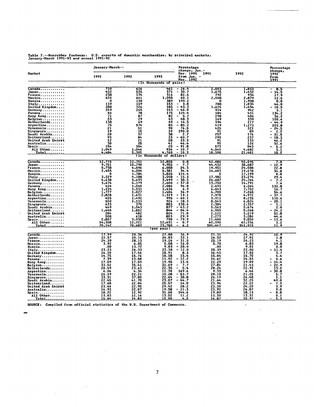| Table 7.--Nonrubber footwear: U.S. exports of domestic merchandise, by principal markets, |  |  |
|-------------------------------------------------------------------------------------------|--|--|
| January-March 1991-93 and annual 1991-92                                                  |  |  |

| 1991<br>1992<br>1993<br>from Jan. -<br>from<br>1992<br>Mar.<br>1991<br>(In thousands of pairs)<br>710<br>Canada<br>626<br>461<br>- 26.4<br>2.003<br>1,833<br>8.5<br>۰<br>$-30.7$<br>432<br>535<br>371<br>1,432<br>Japan<br>1,675<br>14.5<br>Ξ.<br>238<br>174<br>316<br>81.6<br>792<br>934<br>France<br>17.9<br><b>Mexico</b><br>626<br>661<br>1,058<br>60.1<br>2,558<br>2,879<br>12.5<br>Russia<br>$\mathbf o$<br>130<br>389<br>199.2<br>$\bullet$<br>1,908<br>0.0<br>139<br>153<br>Italy<br>159<br>- 3.8<br>708<br>1,034<br>46.0<br>$-43.3$<br><b>United Kingdom</b><br>288<br>185<br>326<br>1,624<br>1,454<br>10.5<br>249<br>143<br>$-46.0$<br>265<br>914<br>Germany<br>942<br>3.1<br>56<br>175<br>124.4<br>Panama<br>78<br>184<br>431<br>134.2<br>71<br>87<br>82<br>- 5.7<br>Hong Kong<br>298<br>406<br>36.2<br>53<br>43<br>48.3<br>29<br>339<br><b>Belgium</b><br>169<br>100.6<br>59<br>138<br>Netherlands<br>69<br>- 14.5<br>394<br>217<br>- 44.9<br>85<br>$-85.2$<br>75<br>574<br>419<br>1,273<br>203.8<br>Argentina<br>21<br>51<br>90<br>76.5<br>Venezuela<br>425<br>321<br>24.5<br>19<br>39<br>290.0<br>91<br>10<br>89<br>$Singapore$<br>2.2<br>38<br>Saudi Arabia<br>20<br>37<br>257<br>2.7<br>176<br>31.5<br>33<br>93<br>Switzerland<br>84<br>- 60.7<br>290<br>237<br>133<br>18.3<br>28<br>12<br>33.3<br>United Arab Emirat<br>21<br>91<br>46.2<br>41<br>95<br>30<br>28<br>46.4<br>126<br>Australia<br>32<br>. 6<br>25<br>154<br>304<br>$\blacksquare$<br>91.8<br>573<br>543<br>Spain<br>5.2<br>All Other<br>934<br>$-10.7$<br>3.1<br>1,049<br>1,046<br>4,540<br>4,682<br>4,760<br>4,484<br>5,305<br>$\overline{\phantom{a}}$<br>10.3<br>18,108<br>21,401<br><u>Total</u><br>18.2<br>thousands of dollars)<br>τm⊤<br>12,775<br>12,751<br>7.0<br>Canada<br>12,855<br>0.8<br>42,686<br>45,695<br>9,751<br>10,790<br>9,955<br>7.7<br>44,432<br>Japan<br>38,687<br>- 12.9<br>France<br>5,738<br>6,088<br>24.3<br>19,951<br>4,896<br>24,508<br>22.8<br>Mexico<br>2,455<br>4,004<br>5,381<br>34.4<br>14,603<br>19,678<br>34.8<br>3,825<br>114.4<br>Russia<br>$\mathbf o$<br>1,784<br>17,199<br>0.0<br>3,229<br>- 15.3<br>17,982<br>4,188<br>3,548<br>Italy<br>23,274<br>29.4<br>5,693<br>3,499<br>$\overline{\phantom{0}}$<br>38.5<br>United Kingdom<br>4,638<br>26,687<br>24,764<br>7.2<br>37.8<br>3,674<br>4,179<br>2,600<br>$\overline{\phantom{0}}$<br>14,791<br>Germany<br>13,750<br>7.6<br>2,086<br>96.8<br>Panama<br>414<br>1,060<br>2,691<br>6,264<br>132.8<br>Hong Kong<br>1,214<br>1,531<br>1,636<br>6.9<br>7,752<br>6,643<br>16.7<br>36.9<br>1,777<br>1,027<br>1,406<br>4,700<br>$Belgium \ldots \ldots \ldots$<br>7,268<br>54.6<br>19.1<br>Netherlands<br>2,828<br>1,319<br>7,978<br>4,972<br>- 37.7<br>1,631<br>$\overline{\phantom{a}}$<br>995<br>455<br>2,492<br>$\overline{\phantom{a}}$<br>60.1<br>3,911<br>8,235<br>Argentina<br>110.6<br>926<br>$\qquad \qquad \blacksquare$<br>18.3<br>Venezuela<br>550<br>1,133<br>8,543<br>6,824<br>20.1<br>883<br>633<br>370<br>138.6<br>2,384<br>2,357<br>$Singapore$<br>1.1<br>877<br>Saudi Arabia<br>449<br>1,543<br>- 43.2<br>5,563<br>5,676<br>2.0<br>1,645<br>844<br>$-54.4$<br>6,950<br>24.2<br>1,852<br>5,268<br>Switzerland<br>824<br>71.0<br>284<br>482<br>United Arab Emirat<br>2,121<br>3,219<br>51.8<br>508<br>803<br>29.9<br>2,273<br>618<br>3,286<br>44.6<br>Australia<br>2,807<br>3,930<br>790<br>79.9<br>11,400<br>9,850<br>Spain<br>$\overline{\phantom{a}}$<br>- 13.6<br>All Other<br>14,308<br>12,721<br>12,631<br>$\overline{\phantom{a}}$<br>0.7<br>60,390<br>62,336<br>3.2<br>$\overline{\phantom{a}}$<br>73,780<br>11.9<br>70,142<br>78,683<br>6.2<br>305,647<br>341,915<br>Total <u></u><br>(per pair)<br>17.99<br>20.36<br>27.88<br>36.9<br>21.31<br>$\frac{24.92}{27.01}$<br>Canada<br>16.9<br>33.1<br>22.57<br>26.83<br>Japan<br>20.16<br>26.52<br>1.8<br>24.10<br>28.13<br>19.26<br>31.5<br>25.19<br>$\bullet$<br>26.23<br>France<br>4.1<br>$\blacksquare$<br>3.92<br>5.08<br>16.0<br>5.70<br>6.83<br>Mexico<br>6.05<br>19.8<br>9.83<br>- 00<br>13.72<br>$\blacksquare$<br>28.4<br>. 00<br>9.01<br>Russia<br>0.0<br>23.23<br>25.39<br>23.18<br>$\overline{\phantom{a}}$<br>12.0<br>22.50<br>26.33<br>11.4<br>Italy<br>18.91<br>United Kingdom<br>16.10<br>17.46<br>8.3<br>16.43<br>17.03<br>3.7<br>18.18<br>15.4<br>15.04<br>14.75<br>15.76<br>15.70<br>4.4<br>Germany<br>11.92<br>7.39<br>$-12.2$<br>14.53<br>Panama<br>13.58<br>14.62<br>0.6<br>19.95<br>13.4<br>19.09<br>17.09<br>17.59<br>22.29<br>14.4<br>Hong Kong<br>33.52<br>35.41<br>32.69<br>7.7<br>27.81<br>21.43<br>22.9<br>Belgium<br>20.49<br>22.35<br>5.4<br>Netherlands<br>23.63<br>20.24<br>22.91<br>13.2<br>6.06<br>11.70<br>169.6<br>9.33<br>30.8<br>Argentina<br>4.34<br>6.46<br>26.19<br>22.21<br>10.28<br>53.7<br>20.10<br>21.25<br>5.7<br>Venezuela<br>$\overline{\phantom{0}}$<br>22.64<br>33.31<br>37.00<br>38.8<br>26.19<br>26.48<br>Singapore<br>$\overline{\phantom{0}}$<br>1.1<br>23.07<br>$-44.7$<br>21.64<br>22.45<br>41.70<br>32.25<br>49.0<br>Saudi Arabia<br>25.57<br>17.68<br>22.04<br>16.0<br>23.96<br>22.22<br>7.3<br>Switzerland<br>22.95<br>29.42<br>23.30<br>United Arab Emirat<br>23.66<br>28.2<br>24.20<br>3.9<br>16.93<br>22.07<br>19.58<br>- 11.3<br>23.92<br>26.07<br>9.0<br><b>Australia</b><br>18.22<br>144.6<br>12.92<br>31.60<br>19.89<br>18.13<br>8.8<br>Spain<br>13.52<br>13.63<br>11.2<br>13.30<br>13.31<br>0.1<br>All Other<br>12.16 | Market | January-March-- |       | Percentage<br>change, Jan.-<br>Mar. 1993 1 |      |       | Percentage<br>change, |     |
|-----------------------------------------------------------------------------------------------------------------------------------------------------------------------------------------------------------------------------------------------------------------------------------------------------------------------------------------------------------------------------------------------------------------------------------------------------------------------------------------------------------------------------------------------------------------------------------------------------------------------------------------------------------------------------------------------------------------------------------------------------------------------------------------------------------------------------------------------------------------------------------------------------------------------------------------------------------------------------------------------------------------------------------------------------------------------------------------------------------------------------------------------------------------------------------------------------------------------------------------------------------------------------------------------------------------------------------------------------------------------------------------------------------------------------------------------------------------------------------------------------------------------------------------------------------------------------------------------------------------------------------------------------------------------------------------------------------------------------------------------------------------------------------------------------------------------------------------------------------------------------------------------------------------------------------------------------------------------------------------------------------------------------------------------------------------------------------------------------------------------------------------------------------------------------------------------------------------------------------------------------------------------------------------------------------------------------------------------------------------------------------------------------------------------------------------------------------------------------------------------------------------------------------------------------------------------------------------------------------------------------------------------------------------------------------------------------------------------------------------------------------------------------------------------------------------------------------------------------------------------------------------------------------------------------------------------------------------------------------------------------------------------------------------------------------------------------------------------------------------------------------------------------------------------------------------------------------------------------------------------------------------------------------------------------------------------------------------------------------------------------------------------------------------------------------------------------------------------------------------------------------------------------------------------------------------------------------------------------------------------------------------------------------------------------------------------------------------------------------------------------------------------------------------------------------------------------------------------------------------------------------------------------------------------------------------------------------------------------------------------------------------------------------------------------------------------------------------------------------------------------------------------------------------------------------------------------------------------------------------------------------------------------------------------------------------------------------------------------------------------------------------------------------------------------------------------------------------------------------------------------------------------------------------------------------------------------------------------------------------------------------------------------------------------------------------------------------------------------------------------------------------------------------------------------------------------------------------------------------------------------------------------------------------------------------------------------------------------------------------------------------------------------------------------------------------------------------------------------------------------------------------------------------------------------------------------------------------------------------------------------------------------------------------------------------------------------------------------------------------------------------------------------------------------------------|--------|-----------------|-------|--------------------------------------------|------|-------|-----------------------|-----|
|                                                                                                                                                                                                                                                                                                                                                                                                                                                                                                                                                                                                                                                                                                                                                                                                                                                                                                                                                                                                                                                                                                                                                                                                                                                                                                                                                                                                                                                                                                                                                                                                                                                                                                                                                                                                                                                                                                                                                                                                                                                                                                                                                                                                                                                                                                                                                                                                                                                                                                                                                                                                                                                                                                                                                                                                                                                                                                                                                                                                                                                                                                                                                                                                                                                                                                                                                                                                                                                                                                                                                                                                                                                                                                                                                                                                                                                                                                                                                                                                                                                                                                                                                                                                                                                                                                                                                                                                                                                                                                                                                                                                                                                                                                                                                                                                                                                                                                                                                                                                                                                                                                                                                                                                                                                                                                                                                                                                                                   |        |                 |       |                                            | 1991 | 1992  | 1992                  |     |
|                                                                                                                                                                                                                                                                                                                                                                                                                                                                                                                                                                                                                                                                                                                                                                                                                                                                                                                                                                                                                                                                                                                                                                                                                                                                                                                                                                                                                                                                                                                                                                                                                                                                                                                                                                                                                                                                                                                                                                                                                                                                                                                                                                                                                                                                                                                                                                                                                                                                                                                                                                                                                                                                                                                                                                                                                                                                                                                                                                                                                                                                                                                                                                                                                                                                                                                                                                                                                                                                                                                                                                                                                                                                                                                                                                                                                                                                                                                                                                                                                                                                                                                                                                                                                                                                                                                                                                                                                                                                                                                                                                                                                                                                                                                                                                                                                                                                                                                                                                                                                                                                                                                                                                                                                                                                                                                                                                                                                                   |        |                 |       |                                            |      |       |                       |     |
|                                                                                                                                                                                                                                                                                                                                                                                                                                                                                                                                                                                                                                                                                                                                                                                                                                                                                                                                                                                                                                                                                                                                                                                                                                                                                                                                                                                                                                                                                                                                                                                                                                                                                                                                                                                                                                                                                                                                                                                                                                                                                                                                                                                                                                                                                                                                                                                                                                                                                                                                                                                                                                                                                                                                                                                                                                                                                                                                                                                                                                                                                                                                                                                                                                                                                                                                                                                                                                                                                                                                                                                                                                                                                                                                                                                                                                                                                                                                                                                                                                                                                                                                                                                                                                                                                                                                                                                                                                                                                                                                                                                                                                                                                                                                                                                                                                                                                                                                                                                                                                                                                                                                                                                                                                                                                                                                                                                                                                   |        |                 |       |                                            |      |       |                       |     |
|                                                                                                                                                                                                                                                                                                                                                                                                                                                                                                                                                                                                                                                                                                                                                                                                                                                                                                                                                                                                                                                                                                                                                                                                                                                                                                                                                                                                                                                                                                                                                                                                                                                                                                                                                                                                                                                                                                                                                                                                                                                                                                                                                                                                                                                                                                                                                                                                                                                                                                                                                                                                                                                                                                                                                                                                                                                                                                                                                                                                                                                                                                                                                                                                                                                                                                                                                                                                                                                                                                                                                                                                                                                                                                                                                                                                                                                                                                                                                                                                                                                                                                                                                                                                                                                                                                                                                                                                                                                                                                                                                                                                                                                                                                                                                                                                                                                                                                                                                                                                                                                                                                                                                                                                                                                                                                                                                                                                                                   |        |                 |       |                                            |      |       |                       |     |
|                                                                                                                                                                                                                                                                                                                                                                                                                                                                                                                                                                                                                                                                                                                                                                                                                                                                                                                                                                                                                                                                                                                                                                                                                                                                                                                                                                                                                                                                                                                                                                                                                                                                                                                                                                                                                                                                                                                                                                                                                                                                                                                                                                                                                                                                                                                                                                                                                                                                                                                                                                                                                                                                                                                                                                                                                                                                                                                                                                                                                                                                                                                                                                                                                                                                                                                                                                                                                                                                                                                                                                                                                                                                                                                                                                                                                                                                                                                                                                                                                                                                                                                                                                                                                                                                                                                                                                                                                                                                                                                                                                                                                                                                                                                                                                                                                                                                                                                                                                                                                                                                                                                                                                                                                                                                                                                                                                                                                                   |        |                 |       |                                            |      |       |                       |     |
|                                                                                                                                                                                                                                                                                                                                                                                                                                                                                                                                                                                                                                                                                                                                                                                                                                                                                                                                                                                                                                                                                                                                                                                                                                                                                                                                                                                                                                                                                                                                                                                                                                                                                                                                                                                                                                                                                                                                                                                                                                                                                                                                                                                                                                                                                                                                                                                                                                                                                                                                                                                                                                                                                                                                                                                                                                                                                                                                                                                                                                                                                                                                                                                                                                                                                                                                                                                                                                                                                                                                                                                                                                                                                                                                                                                                                                                                                                                                                                                                                                                                                                                                                                                                                                                                                                                                                                                                                                                                                                                                                                                                                                                                                                                                                                                                                                                                                                                                                                                                                                                                                                                                                                                                                                                                                                                                                                                                                                   |        |                 |       |                                            |      |       |                       |     |
|                                                                                                                                                                                                                                                                                                                                                                                                                                                                                                                                                                                                                                                                                                                                                                                                                                                                                                                                                                                                                                                                                                                                                                                                                                                                                                                                                                                                                                                                                                                                                                                                                                                                                                                                                                                                                                                                                                                                                                                                                                                                                                                                                                                                                                                                                                                                                                                                                                                                                                                                                                                                                                                                                                                                                                                                                                                                                                                                                                                                                                                                                                                                                                                                                                                                                                                                                                                                                                                                                                                                                                                                                                                                                                                                                                                                                                                                                                                                                                                                                                                                                                                                                                                                                                                                                                                                                                                                                                                                                                                                                                                                                                                                                                                                                                                                                                                                                                                                                                                                                                                                                                                                                                                                                                                                                                                                                                                                                                   |        |                 |       |                                            |      |       |                       |     |
|                                                                                                                                                                                                                                                                                                                                                                                                                                                                                                                                                                                                                                                                                                                                                                                                                                                                                                                                                                                                                                                                                                                                                                                                                                                                                                                                                                                                                                                                                                                                                                                                                                                                                                                                                                                                                                                                                                                                                                                                                                                                                                                                                                                                                                                                                                                                                                                                                                                                                                                                                                                                                                                                                                                                                                                                                                                                                                                                                                                                                                                                                                                                                                                                                                                                                                                                                                                                                                                                                                                                                                                                                                                                                                                                                                                                                                                                                                                                                                                                                                                                                                                                                                                                                                                                                                                                                                                                                                                                                                                                                                                                                                                                                                                                                                                                                                                                                                                                                                                                                                                                                                                                                                                                                                                                                                                                                                                                                                   |        |                 |       |                                            |      |       |                       |     |
|                                                                                                                                                                                                                                                                                                                                                                                                                                                                                                                                                                                                                                                                                                                                                                                                                                                                                                                                                                                                                                                                                                                                                                                                                                                                                                                                                                                                                                                                                                                                                                                                                                                                                                                                                                                                                                                                                                                                                                                                                                                                                                                                                                                                                                                                                                                                                                                                                                                                                                                                                                                                                                                                                                                                                                                                                                                                                                                                                                                                                                                                                                                                                                                                                                                                                                                                                                                                                                                                                                                                                                                                                                                                                                                                                                                                                                                                                                                                                                                                                                                                                                                                                                                                                                                                                                                                                                                                                                                                                                                                                                                                                                                                                                                                                                                                                                                                                                                                                                                                                                                                                                                                                                                                                                                                                                                                                                                                                                   |        |                 |       |                                            |      |       |                       |     |
|                                                                                                                                                                                                                                                                                                                                                                                                                                                                                                                                                                                                                                                                                                                                                                                                                                                                                                                                                                                                                                                                                                                                                                                                                                                                                                                                                                                                                                                                                                                                                                                                                                                                                                                                                                                                                                                                                                                                                                                                                                                                                                                                                                                                                                                                                                                                                                                                                                                                                                                                                                                                                                                                                                                                                                                                                                                                                                                                                                                                                                                                                                                                                                                                                                                                                                                                                                                                                                                                                                                                                                                                                                                                                                                                                                                                                                                                                                                                                                                                                                                                                                                                                                                                                                                                                                                                                                                                                                                                                                                                                                                                                                                                                                                                                                                                                                                                                                                                                                                                                                                                                                                                                                                                                                                                                                                                                                                                                                   |        |                 |       |                                            |      |       |                       |     |
|                                                                                                                                                                                                                                                                                                                                                                                                                                                                                                                                                                                                                                                                                                                                                                                                                                                                                                                                                                                                                                                                                                                                                                                                                                                                                                                                                                                                                                                                                                                                                                                                                                                                                                                                                                                                                                                                                                                                                                                                                                                                                                                                                                                                                                                                                                                                                                                                                                                                                                                                                                                                                                                                                                                                                                                                                                                                                                                                                                                                                                                                                                                                                                                                                                                                                                                                                                                                                                                                                                                                                                                                                                                                                                                                                                                                                                                                                                                                                                                                                                                                                                                                                                                                                                                                                                                                                                                                                                                                                                                                                                                                                                                                                                                                                                                                                                                                                                                                                                                                                                                                                                                                                                                                                                                                                                                                                                                                                                   |        |                 |       |                                            |      |       |                       |     |
|                                                                                                                                                                                                                                                                                                                                                                                                                                                                                                                                                                                                                                                                                                                                                                                                                                                                                                                                                                                                                                                                                                                                                                                                                                                                                                                                                                                                                                                                                                                                                                                                                                                                                                                                                                                                                                                                                                                                                                                                                                                                                                                                                                                                                                                                                                                                                                                                                                                                                                                                                                                                                                                                                                                                                                                                                                                                                                                                                                                                                                                                                                                                                                                                                                                                                                                                                                                                                                                                                                                                                                                                                                                                                                                                                                                                                                                                                                                                                                                                                                                                                                                                                                                                                                                                                                                                                                                                                                                                                                                                                                                                                                                                                                                                                                                                                                                                                                                                                                                                                                                                                                                                                                                                                                                                                                                                                                                                                                   |        |                 |       |                                            |      |       |                       |     |
|                                                                                                                                                                                                                                                                                                                                                                                                                                                                                                                                                                                                                                                                                                                                                                                                                                                                                                                                                                                                                                                                                                                                                                                                                                                                                                                                                                                                                                                                                                                                                                                                                                                                                                                                                                                                                                                                                                                                                                                                                                                                                                                                                                                                                                                                                                                                                                                                                                                                                                                                                                                                                                                                                                                                                                                                                                                                                                                                                                                                                                                                                                                                                                                                                                                                                                                                                                                                                                                                                                                                                                                                                                                                                                                                                                                                                                                                                                                                                                                                                                                                                                                                                                                                                                                                                                                                                                                                                                                                                                                                                                                                                                                                                                                                                                                                                                                                                                                                                                                                                                                                                                                                                                                                                                                                                                                                                                                                                                   |        |                 |       |                                            |      |       |                       |     |
|                                                                                                                                                                                                                                                                                                                                                                                                                                                                                                                                                                                                                                                                                                                                                                                                                                                                                                                                                                                                                                                                                                                                                                                                                                                                                                                                                                                                                                                                                                                                                                                                                                                                                                                                                                                                                                                                                                                                                                                                                                                                                                                                                                                                                                                                                                                                                                                                                                                                                                                                                                                                                                                                                                                                                                                                                                                                                                                                                                                                                                                                                                                                                                                                                                                                                                                                                                                                                                                                                                                                                                                                                                                                                                                                                                                                                                                                                                                                                                                                                                                                                                                                                                                                                                                                                                                                                                                                                                                                                                                                                                                                                                                                                                                                                                                                                                                                                                                                                                                                                                                                                                                                                                                                                                                                                                                                                                                                                                   |        |                 |       |                                            |      |       |                       |     |
|                                                                                                                                                                                                                                                                                                                                                                                                                                                                                                                                                                                                                                                                                                                                                                                                                                                                                                                                                                                                                                                                                                                                                                                                                                                                                                                                                                                                                                                                                                                                                                                                                                                                                                                                                                                                                                                                                                                                                                                                                                                                                                                                                                                                                                                                                                                                                                                                                                                                                                                                                                                                                                                                                                                                                                                                                                                                                                                                                                                                                                                                                                                                                                                                                                                                                                                                                                                                                                                                                                                                                                                                                                                                                                                                                                                                                                                                                                                                                                                                                                                                                                                                                                                                                                                                                                                                                                                                                                                                                                                                                                                                                                                                                                                                                                                                                                                                                                                                                                                                                                                                                                                                                                                                                                                                                                                                                                                                                                   |        |                 |       |                                            |      |       |                       |     |
|                                                                                                                                                                                                                                                                                                                                                                                                                                                                                                                                                                                                                                                                                                                                                                                                                                                                                                                                                                                                                                                                                                                                                                                                                                                                                                                                                                                                                                                                                                                                                                                                                                                                                                                                                                                                                                                                                                                                                                                                                                                                                                                                                                                                                                                                                                                                                                                                                                                                                                                                                                                                                                                                                                                                                                                                                                                                                                                                                                                                                                                                                                                                                                                                                                                                                                                                                                                                                                                                                                                                                                                                                                                                                                                                                                                                                                                                                                                                                                                                                                                                                                                                                                                                                                                                                                                                                                                                                                                                                                                                                                                                                                                                                                                                                                                                                                                                                                                                                                                                                                                                                                                                                                                                                                                                                                                                                                                                                                   |        |                 |       |                                            |      |       |                       |     |
|                                                                                                                                                                                                                                                                                                                                                                                                                                                                                                                                                                                                                                                                                                                                                                                                                                                                                                                                                                                                                                                                                                                                                                                                                                                                                                                                                                                                                                                                                                                                                                                                                                                                                                                                                                                                                                                                                                                                                                                                                                                                                                                                                                                                                                                                                                                                                                                                                                                                                                                                                                                                                                                                                                                                                                                                                                                                                                                                                                                                                                                                                                                                                                                                                                                                                                                                                                                                                                                                                                                                                                                                                                                                                                                                                                                                                                                                                                                                                                                                                                                                                                                                                                                                                                                                                                                                                                                                                                                                                                                                                                                                                                                                                                                                                                                                                                                                                                                                                                                                                                                                                                                                                                                                                                                                                                                                                                                                                                   |        |                 |       |                                            |      |       |                       |     |
|                                                                                                                                                                                                                                                                                                                                                                                                                                                                                                                                                                                                                                                                                                                                                                                                                                                                                                                                                                                                                                                                                                                                                                                                                                                                                                                                                                                                                                                                                                                                                                                                                                                                                                                                                                                                                                                                                                                                                                                                                                                                                                                                                                                                                                                                                                                                                                                                                                                                                                                                                                                                                                                                                                                                                                                                                                                                                                                                                                                                                                                                                                                                                                                                                                                                                                                                                                                                                                                                                                                                                                                                                                                                                                                                                                                                                                                                                                                                                                                                                                                                                                                                                                                                                                                                                                                                                                                                                                                                                                                                                                                                                                                                                                                                                                                                                                                                                                                                                                                                                                                                                                                                                                                                                                                                                                                                                                                                                                   |        |                 |       |                                            |      |       |                       |     |
|                                                                                                                                                                                                                                                                                                                                                                                                                                                                                                                                                                                                                                                                                                                                                                                                                                                                                                                                                                                                                                                                                                                                                                                                                                                                                                                                                                                                                                                                                                                                                                                                                                                                                                                                                                                                                                                                                                                                                                                                                                                                                                                                                                                                                                                                                                                                                                                                                                                                                                                                                                                                                                                                                                                                                                                                                                                                                                                                                                                                                                                                                                                                                                                                                                                                                                                                                                                                                                                                                                                                                                                                                                                                                                                                                                                                                                                                                                                                                                                                                                                                                                                                                                                                                                                                                                                                                                                                                                                                                                                                                                                                                                                                                                                                                                                                                                                                                                                                                                                                                                                                                                                                                                                                                                                                                                                                                                                                                                   |        |                 |       |                                            |      |       |                       |     |
|                                                                                                                                                                                                                                                                                                                                                                                                                                                                                                                                                                                                                                                                                                                                                                                                                                                                                                                                                                                                                                                                                                                                                                                                                                                                                                                                                                                                                                                                                                                                                                                                                                                                                                                                                                                                                                                                                                                                                                                                                                                                                                                                                                                                                                                                                                                                                                                                                                                                                                                                                                                                                                                                                                                                                                                                                                                                                                                                                                                                                                                                                                                                                                                                                                                                                                                                                                                                                                                                                                                                                                                                                                                                                                                                                                                                                                                                                                                                                                                                                                                                                                                                                                                                                                                                                                                                                                                                                                                                                                                                                                                                                                                                                                                                                                                                                                                                                                                                                                                                                                                                                                                                                                                                                                                                                                                                                                                                                                   |        |                 |       |                                            |      |       |                       |     |
|                                                                                                                                                                                                                                                                                                                                                                                                                                                                                                                                                                                                                                                                                                                                                                                                                                                                                                                                                                                                                                                                                                                                                                                                                                                                                                                                                                                                                                                                                                                                                                                                                                                                                                                                                                                                                                                                                                                                                                                                                                                                                                                                                                                                                                                                                                                                                                                                                                                                                                                                                                                                                                                                                                                                                                                                                                                                                                                                                                                                                                                                                                                                                                                                                                                                                                                                                                                                                                                                                                                                                                                                                                                                                                                                                                                                                                                                                                                                                                                                                                                                                                                                                                                                                                                                                                                                                                                                                                                                                                                                                                                                                                                                                                                                                                                                                                                                                                                                                                                                                                                                                                                                                                                                                                                                                                                                                                                                                                   |        |                 |       |                                            |      |       |                       |     |
|                                                                                                                                                                                                                                                                                                                                                                                                                                                                                                                                                                                                                                                                                                                                                                                                                                                                                                                                                                                                                                                                                                                                                                                                                                                                                                                                                                                                                                                                                                                                                                                                                                                                                                                                                                                                                                                                                                                                                                                                                                                                                                                                                                                                                                                                                                                                                                                                                                                                                                                                                                                                                                                                                                                                                                                                                                                                                                                                                                                                                                                                                                                                                                                                                                                                                                                                                                                                                                                                                                                                                                                                                                                                                                                                                                                                                                                                                                                                                                                                                                                                                                                                                                                                                                                                                                                                                                                                                                                                                                                                                                                                                                                                                                                                                                                                                                                                                                                                                                                                                                                                                                                                                                                                                                                                                                                                                                                                                                   |        |                 |       |                                            |      |       |                       |     |
|                                                                                                                                                                                                                                                                                                                                                                                                                                                                                                                                                                                                                                                                                                                                                                                                                                                                                                                                                                                                                                                                                                                                                                                                                                                                                                                                                                                                                                                                                                                                                                                                                                                                                                                                                                                                                                                                                                                                                                                                                                                                                                                                                                                                                                                                                                                                                                                                                                                                                                                                                                                                                                                                                                                                                                                                                                                                                                                                                                                                                                                                                                                                                                                                                                                                                                                                                                                                                                                                                                                                                                                                                                                                                                                                                                                                                                                                                                                                                                                                                                                                                                                                                                                                                                                                                                                                                                                                                                                                                                                                                                                                                                                                                                                                                                                                                                                                                                                                                                                                                                                                                                                                                                                                                                                                                                                                                                                                                                   |        |                 |       |                                            |      |       |                       |     |
|                                                                                                                                                                                                                                                                                                                                                                                                                                                                                                                                                                                                                                                                                                                                                                                                                                                                                                                                                                                                                                                                                                                                                                                                                                                                                                                                                                                                                                                                                                                                                                                                                                                                                                                                                                                                                                                                                                                                                                                                                                                                                                                                                                                                                                                                                                                                                                                                                                                                                                                                                                                                                                                                                                                                                                                                                                                                                                                                                                                                                                                                                                                                                                                                                                                                                                                                                                                                                                                                                                                                                                                                                                                                                                                                                                                                                                                                                                                                                                                                                                                                                                                                                                                                                                                                                                                                                                                                                                                                                                                                                                                                                                                                                                                                                                                                                                                                                                                                                                                                                                                                                                                                                                                                                                                                                                                                                                                                                                   |        |                 |       |                                            |      |       |                       |     |
|                                                                                                                                                                                                                                                                                                                                                                                                                                                                                                                                                                                                                                                                                                                                                                                                                                                                                                                                                                                                                                                                                                                                                                                                                                                                                                                                                                                                                                                                                                                                                                                                                                                                                                                                                                                                                                                                                                                                                                                                                                                                                                                                                                                                                                                                                                                                                                                                                                                                                                                                                                                                                                                                                                                                                                                                                                                                                                                                                                                                                                                                                                                                                                                                                                                                                                                                                                                                                                                                                                                                                                                                                                                                                                                                                                                                                                                                                                                                                                                                                                                                                                                                                                                                                                                                                                                                                                                                                                                                                                                                                                                                                                                                                                                                                                                                                                                                                                                                                                                                                                                                                                                                                                                                                                                                                                                                                                                                                                   |        |                 |       |                                            |      |       |                       |     |
|                                                                                                                                                                                                                                                                                                                                                                                                                                                                                                                                                                                                                                                                                                                                                                                                                                                                                                                                                                                                                                                                                                                                                                                                                                                                                                                                                                                                                                                                                                                                                                                                                                                                                                                                                                                                                                                                                                                                                                                                                                                                                                                                                                                                                                                                                                                                                                                                                                                                                                                                                                                                                                                                                                                                                                                                                                                                                                                                                                                                                                                                                                                                                                                                                                                                                                                                                                                                                                                                                                                                                                                                                                                                                                                                                                                                                                                                                                                                                                                                                                                                                                                                                                                                                                                                                                                                                                                                                                                                                                                                                                                                                                                                                                                                                                                                                                                                                                                                                                                                                                                                                                                                                                                                                                                                                                                                                                                                                                   |        |                 |       |                                            |      |       |                       |     |
|                                                                                                                                                                                                                                                                                                                                                                                                                                                                                                                                                                                                                                                                                                                                                                                                                                                                                                                                                                                                                                                                                                                                                                                                                                                                                                                                                                                                                                                                                                                                                                                                                                                                                                                                                                                                                                                                                                                                                                                                                                                                                                                                                                                                                                                                                                                                                                                                                                                                                                                                                                                                                                                                                                                                                                                                                                                                                                                                                                                                                                                                                                                                                                                                                                                                                                                                                                                                                                                                                                                                                                                                                                                                                                                                                                                                                                                                                                                                                                                                                                                                                                                                                                                                                                                                                                                                                                                                                                                                                                                                                                                                                                                                                                                                                                                                                                                                                                                                                                                                                                                                                                                                                                                                                                                                                                                                                                                                                                   |        |                 |       |                                            |      |       |                       |     |
|                                                                                                                                                                                                                                                                                                                                                                                                                                                                                                                                                                                                                                                                                                                                                                                                                                                                                                                                                                                                                                                                                                                                                                                                                                                                                                                                                                                                                                                                                                                                                                                                                                                                                                                                                                                                                                                                                                                                                                                                                                                                                                                                                                                                                                                                                                                                                                                                                                                                                                                                                                                                                                                                                                                                                                                                                                                                                                                                                                                                                                                                                                                                                                                                                                                                                                                                                                                                                                                                                                                                                                                                                                                                                                                                                                                                                                                                                                                                                                                                                                                                                                                                                                                                                                                                                                                                                                                                                                                                                                                                                                                                                                                                                                                                                                                                                                                                                                                                                                                                                                                                                                                                                                                                                                                                                                                                                                                                                                   |        |                 |       |                                            |      |       |                       |     |
|                                                                                                                                                                                                                                                                                                                                                                                                                                                                                                                                                                                                                                                                                                                                                                                                                                                                                                                                                                                                                                                                                                                                                                                                                                                                                                                                                                                                                                                                                                                                                                                                                                                                                                                                                                                                                                                                                                                                                                                                                                                                                                                                                                                                                                                                                                                                                                                                                                                                                                                                                                                                                                                                                                                                                                                                                                                                                                                                                                                                                                                                                                                                                                                                                                                                                                                                                                                                                                                                                                                                                                                                                                                                                                                                                                                                                                                                                                                                                                                                                                                                                                                                                                                                                                                                                                                                                                                                                                                                                                                                                                                                                                                                                                                                                                                                                                                                                                                                                                                                                                                                                                                                                                                                                                                                                                                                                                                                                                   |        |                 |       |                                            |      |       |                       |     |
|                                                                                                                                                                                                                                                                                                                                                                                                                                                                                                                                                                                                                                                                                                                                                                                                                                                                                                                                                                                                                                                                                                                                                                                                                                                                                                                                                                                                                                                                                                                                                                                                                                                                                                                                                                                                                                                                                                                                                                                                                                                                                                                                                                                                                                                                                                                                                                                                                                                                                                                                                                                                                                                                                                                                                                                                                                                                                                                                                                                                                                                                                                                                                                                                                                                                                                                                                                                                                                                                                                                                                                                                                                                                                                                                                                                                                                                                                                                                                                                                                                                                                                                                                                                                                                                                                                                                                                                                                                                                                                                                                                                                                                                                                                                                                                                                                                                                                                                                                                                                                                                                                                                                                                                                                                                                                                                                                                                                                                   |        |                 |       |                                            |      |       |                       |     |
|                                                                                                                                                                                                                                                                                                                                                                                                                                                                                                                                                                                                                                                                                                                                                                                                                                                                                                                                                                                                                                                                                                                                                                                                                                                                                                                                                                                                                                                                                                                                                                                                                                                                                                                                                                                                                                                                                                                                                                                                                                                                                                                                                                                                                                                                                                                                                                                                                                                                                                                                                                                                                                                                                                                                                                                                                                                                                                                                                                                                                                                                                                                                                                                                                                                                                                                                                                                                                                                                                                                                                                                                                                                                                                                                                                                                                                                                                                                                                                                                                                                                                                                                                                                                                                                                                                                                                                                                                                                                                                                                                                                                                                                                                                                                                                                                                                                                                                                                                                                                                                                                                                                                                                                                                                                                                                                                                                                                                                   |        |                 |       |                                            |      |       |                       |     |
|                                                                                                                                                                                                                                                                                                                                                                                                                                                                                                                                                                                                                                                                                                                                                                                                                                                                                                                                                                                                                                                                                                                                                                                                                                                                                                                                                                                                                                                                                                                                                                                                                                                                                                                                                                                                                                                                                                                                                                                                                                                                                                                                                                                                                                                                                                                                                                                                                                                                                                                                                                                                                                                                                                                                                                                                                                                                                                                                                                                                                                                                                                                                                                                                                                                                                                                                                                                                                                                                                                                                                                                                                                                                                                                                                                                                                                                                                                                                                                                                                                                                                                                                                                                                                                                                                                                                                                                                                                                                                                                                                                                                                                                                                                                                                                                                                                                                                                                                                                                                                                                                                                                                                                                                                                                                                                                                                                                                                                   |        |                 |       |                                            |      |       |                       |     |
|                                                                                                                                                                                                                                                                                                                                                                                                                                                                                                                                                                                                                                                                                                                                                                                                                                                                                                                                                                                                                                                                                                                                                                                                                                                                                                                                                                                                                                                                                                                                                                                                                                                                                                                                                                                                                                                                                                                                                                                                                                                                                                                                                                                                                                                                                                                                                                                                                                                                                                                                                                                                                                                                                                                                                                                                                                                                                                                                                                                                                                                                                                                                                                                                                                                                                                                                                                                                                                                                                                                                                                                                                                                                                                                                                                                                                                                                                                                                                                                                                                                                                                                                                                                                                                                                                                                                                                                                                                                                                                                                                                                                                                                                                                                                                                                                                                                                                                                                                                                                                                                                                                                                                                                                                                                                                                                                                                                                                                   |        |                 |       |                                            |      |       |                       |     |
|                                                                                                                                                                                                                                                                                                                                                                                                                                                                                                                                                                                                                                                                                                                                                                                                                                                                                                                                                                                                                                                                                                                                                                                                                                                                                                                                                                                                                                                                                                                                                                                                                                                                                                                                                                                                                                                                                                                                                                                                                                                                                                                                                                                                                                                                                                                                                                                                                                                                                                                                                                                                                                                                                                                                                                                                                                                                                                                                                                                                                                                                                                                                                                                                                                                                                                                                                                                                                                                                                                                                                                                                                                                                                                                                                                                                                                                                                                                                                                                                                                                                                                                                                                                                                                                                                                                                                                                                                                                                                                                                                                                                                                                                                                                                                                                                                                                                                                                                                                                                                                                                                                                                                                                                                                                                                                                                                                                                                                   |        |                 |       |                                            |      |       |                       |     |
|                                                                                                                                                                                                                                                                                                                                                                                                                                                                                                                                                                                                                                                                                                                                                                                                                                                                                                                                                                                                                                                                                                                                                                                                                                                                                                                                                                                                                                                                                                                                                                                                                                                                                                                                                                                                                                                                                                                                                                                                                                                                                                                                                                                                                                                                                                                                                                                                                                                                                                                                                                                                                                                                                                                                                                                                                                                                                                                                                                                                                                                                                                                                                                                                                                                                                                                                                                                                                                                                                                                                                                                                                                                                                                                                                                                                                                                                                                                                                                                                                                                                                                                                                                                                                                                                                                                                                                                                                                                                                                                                                                                                                                                                                                                                                                                                                                                                                                                                                                                                                                                                                                                                                                                                                                                                                                                                                                                                                                   |        |                 |       |                                            |      |       |                       |     |
|                                                                                                                                                                                                                                                                                                                                                                                                                                                                                                                                                                                                                                                                                                                                                                                                                                                                                                                                                                                                                                                                                                                                                                                                                                                                                                                                                                                                                                                                                                                                                                                                                                                                                                                                                                                                                                                                                                                                                                                                                                                                                                                                                                                                                                                                                                                                                                                                                                                                                                                                                                                                                                                                                                                                                                                                                                                                                                                                                                                                                                                                                                                                                                                                                                                                                                                                                                                                                                                                                                                                                                                                                                                                                                                                                                                                                                                                                                                                                                                                                                                                                                                                                                                                                                                                                                                                                                                                                                                                                                                                                                                                                                                                                                                                                                                                                                                                                                                                                                                                                                                                                                                                                                                                                                                                                                                                                                                                                                   |        |                 |       |                                            |      |       |                       |     |
|                                                                                                                                                                                                                                                                                                                                                                                                                                                                                                                                                                                                                                                                                                                                                                                                                                                                                                                                                                                                                                                                                                                                                                                                                                                                                                                                                                                                                                                                                                                                                                                                                                                                                                                                                                                                                                                                                                                                                                                                                                                                                                                                                                                                                                                                                                                                                                                                                                                                                                                                                                                                                                                                                                                                                                                                                                                                                                                                                                                                                                                                                                                                                                                                                                                                                                                                                                                                                                                                                                                                                                                                                                                                                                                                                                                                                                                                                                                                                                                                                                                                                                                                                                                                                                                                                                                                                                                                                                                                                                                                                                                                                                                                                                                                                                                                                                                                                                                                                                                                                                                                                                                                                                                                                                                                                                                                                                                                                                   |        |                 |       |                                            |      |       |                       |     |
|                                                                                                                                                                                                                                                                                                                                                                                                                                                                                                                                                                                                                                                                                                                                                                                                                                                                                                                                                                                                                                                                                                                                                                                                                                                                                                                                                                                                                                                                                                                                                                                                                                                                                                                                                                                                                                                                                                                                                                                                                                                                                                                                                                                                                                                                                                                                                                                                                                                                                                                                                                                                                                                                                                                                                                                                                                                                                                                                                                                                                                                                                                                                                                                                                                                                                                                                                                                                                                                                                                                                                                                                                                                                                                                                                                                                                                                                                                                                                                                                                                                                                                                                                                                                                                                                                                                                                                                                                                                                                                                                                                                                                                                                                                                                                                                                                                                                                                                                                                                                                                                                                                                                                                                                                                                                                                                                                                                                                                   |        |                 |       |                                            |      |       |                       |     |
|                                                                                                                                                                                                                                                                                                                                                                                                                                                                                                                                                                                                                                                                                                                                                                                                                                                                                                                                                                                                                                                                                                                                                                                                                                                                                                                                                                                                                                                                                                                                                                                                                                                                                                                                                                                                                                                                                                                                                                                                                                                                                                                                                                                                                                                                                                                                                                                                                                                                                                                                                                                                                                                                                                                                                                                                                                                                                                                                                                                                                                                                                                                                                                                                                                                                                                                                                                                                                                                                                                                                                                                                                                                                                                                                                                                                                                                                                                                                                                                                                                                                                                                                                                                                                                                                                                                                                                                                                                                                                                                                                                                                                                                                                                                                                                                                                                                                                                                                                                                                                                                                                                                                                                                                                                                                                                                                                                                                                                   |        |                 |       |                                            |      |       |                       |     |
|                                                                                                                                                                                                                                                                                                                                                                                                                                                                                                                                                                                                                                                                                                                                                                                                                                                                                                                                                                                                                                                                                                                                                                                                                                                                                                                                                                                                                                                                                                                                                                                                                                                                                                                                                                                                                                                                                                                                                                                                                                                                                                                                                                                                                                                                                                                                                                                                                                                                                                                                                                                                                                                                                                                                                                                                                                                                                                                                                                                                                                                                                                                                                                                                                                                                                                                                                                                                                                                                                                                                                                                                                                                                                                                                                                                                                                                                                                                                                                                                                                                                                                                                                                                                                                                                                                                                                                                                                                                                                                                                                                                                                                                                                                                                                                                                                                                                                                                                                                                                                                                                                                                                                                                                                                                                                                                                                                                                                                   |        |                 |       |                                            |      |       |                       |     |
|                                                                                                                                                                                                                                                                                                                                                                                                                                                                                                                                                                                                                                                                                                                                                                                                                                                                                                                                                                                                                                                                                                                                                                                                                                                                                                                                                                                                                                                                                                                                                                                                                                                                                                                                                                                                                                                                                                                                                                                                                                                                                                                                                                                                                                                                                                                                                                                                                                                                                                                                                                                                                                                                                                                                                                                                                                                                                                                                                                                                                                                                                                                                                                                                                                                                                                                                                                                                                                                                                                                                                                                                                                                                                                                                                                                                                                                                                                                                                                                                                                                                                                                                                                                                                                                                                                                                                                                                                                                                                                                                                                                                                                                                                                                                                                                                                                                                                                                                                                                                                                                                                                                                                                                                                                                                                                                                                                                                                                   |        |                 |       |                                            |      |       |                       |     |
|                                                                                                                                                                                                                                                                                                                                                                                                                                                                                                                                                                                                                                                                                                                                                                                                                                                                                                                                                                                                                                                                                                                                                                                                                                                                                                                                                                                                                                                                                                                                                                                                                                                                                                                                                                                                                                                                                                                                                                                                                                                                                                                                                                                                                                                                                                                                                                                                                                                                                                                                                                                                                                                                                                                                                                                                                                                                                                                                                                                                                                                                                                                                                                                                                                                                                                                                                                                                                                                                                                                                                                                                                                                                                                                                                                                                                                                                                                                                                                                                                                                                                                                                                                                                                                                                                                                                                                                                                                                                                                                                                                                                                                                                                                                                                                                                                                                                                                                                                                                                                                                                                                                                                                                                                                                                                                                                                                                                                                   |        |                 |       |                                            |      |       |                       |     |
|                                                                                                                                                                                                                                                                                                                                                                                                                                                                                                                                                                                                                                                                                                                                                                                                                                                                                                                                                                                                                                                                                                                                                                                                                                                                                                                                                                                                                                                                                                                                                                                                                                                                                                                                                                                                                                                                                                                                                                                                                                                                                                                                                                                                                                                                                                                                                                                                                                                                                                                                                                                                                                                                                                                                                                                                                                                                                                                                                                                                                                                                                                                                                                                                                                                                                                                                                                                                                                                                                                                                                                                                                                                                                                                                                                                                                                                                                                                                                                                                                                                                                                                                                                                                                                                                                                                                                                                                                                                                                                                                                                                                                                                                                                                                                                                                                                                                                                                                                                                                                                                                                                                                                                                                                                                                                                                                                                                                                                   |        |                 |       |                                            |      |       |                       |     |
|                                                                                                                                                                                                                                                                                                                                                                                                                                                                                                                                                                                                                                                                                                                                                                                                                                                                                                                                                                                                                                                                                                                                                                                                                                                                                                                                                                                                                                                                                                                                                                                                                                                                                                                                                                                                                                                                                                                                                                                                                                                                                                                                                                                                                                                                                                                                                                                                                                                                                                                                                                                                                                                                                                                                                                                                                                                                                                                                                                                                                                                                                                                                                                                                                                                                                                                                                                                                                                                                                                                                                                                                                                                                                                                                                                                                                                                                                                                                                                                                                                                                                                                                                                                                                                                                                                                                                                                                                                                                                                                                                                                                                                                                                                                                                                                                                                                                                                                                                                                                                                                                                                                                                                                                                                                                                                                                                                                                                                   |        |                 |       |                                            |      |       |                       |     |
|                                                                                                                                                                                                                                                                                                                                                                                                                                                                                                                                                                                                                                                                                                                                                                                                                                                                                                                                                                                                                                                                                                                                                                                                                                                                                                                                                                                                                                                                                                                                                                                                                                                                                                                                                                                                                                                                                                                                                                                                                                                                                                                                                                                                                                                                                                                                                                                                                                                                                                                                                                                                                                                                                                                                                                                                                                                                                                                                                                                                                                                                                                                                                                                                                                                                                                                                                                                                                                                                                                                                                                                                                                                                                                                                                                                                                                                                                                                                                                                                                                                                                                                                                                                                                                                                                                                                                                                                                                                                                                                                                                                                                                                                                                                                                                                                                                                                                                                                                                                                                                                                                                                                                                                                                                                                                                                                                                                                                                   |        |                 |       |                                            |      |       |                       |     |
|                                                                                                                                                                                                                                                                                                                                                                                                                                                                                                                                                                                                                                                                                                                                                                                                                                                                                                                                                                                                                                                                                                                                                                                                                                                                                                                                                                                                                                                                                                                                                                                                                                                                                                                                                                                                                                                                                                                                                                                                                                                                                                                                                                                                                                                                                                                                                                                                                                                                                                                                                                                                                                                                                                                                                                                                                                                                                                                                                                                                                                                                                                                                                                                                                                                                                                                                                                                                                                                                                                                                                                                                                                                                                                                                                                                                                                                                                                                                                                                                                                                                                                                                                                                                                                                                                                                                                                                                                                                                                                                                                                                                                                                                                                                                                                                                                                                                                                                                                                                                                                                                                                                                                                                                                                                                                                                                                                                                                                   |        |                 |       |                                            |      |       |                       |     |
|                                                                                                                                                                                                                                                                                                                                                                                                                                                                                                                                                                                                                                                                                                                                                                                                                                                                                                                                                                                                                                                                                                                                                                                                                                                                                                                                                                                                                                                                                                                                                                                                                                                                                                                                                                                                                                                                                                                                                                                                                                                                                                                                                                                                                                                                                                                                                                                                                                                                                                                                                                                                                                                                                                                                                                                                                                                                                                                                                                                                                                                                                                                                                                                                                                                                                                                                                                                                                                                                                                                                                                                                                                                                                                                                                                                                                                                                                                                                                                                                                                                                                                                                                                                                                                                                                                                                                                                                                                                                                                                                                                                                                                                                                                                                                                                                                                                                                                                                                                                                                                                                                                                                                                                                                                                                                                                                                                                                                                   |        |                 |       |                                            |      |       |                       |     |
|                                                                                                                                                                                                                                                                                                                                                                                                                                                                                                                                                                                                                                                                                                                                                                                                                                                                                                                                                                                                                                                                                                                                                                                                                                                                                                                                                                                                                                                                                                                                                                                                                                                                                                                                                                                                                                                                                                                                                                                                                                                                                                                                                                                                                                                                                                                                                                                                                                                                                                                                                                                                                                                                                                                                                                                                                                                                                                                                                                                                                                                                                                                                                                                                                                                                                                                                                                                                                                                                                                                                                                                                                                                                                                                                                                                                                                                                                                                                                                                                                                                                                                                                                                                                                                                                                                                                                                                                                                                                                                                                                                                                                                                                                                                                                                                                                                                                                                                                                                                                                                                                                                                                                                                                                                                                                                                                                                                                                                   |        |                 |       |                                            |      |       |                       |     |
|                                                                                                                                                                                                                                                                                                                                                                                                                                                                                                                                                                                                                                                                                                                                                                                                                                                                                                                                                                                                                                                                                                                                                                                                                                                                                                                                                                                                                                                                                                                                                                                                                                                                                                                                                                                                                                                                                                                                                                                                                                                                                                                                                                                                                                                                                                                                                                                                                                                                                                                                                                                                                                                                                                                                                                                                                                                                                                                                                                                                                                                                                                                                                                                                                                                                                                                                                                                                                                                                                                                                                                                                                                                                                                                                                                                                                                                                                                                                                                                                                                                                                                                                                                                                                                                                                                                                                                                                                                                                                                                                                                                                                                                                                                                                                                                                                                                                                                                                                                                                                                                                                                                                                                                                                                                                                                                                                                                                                                   |        |                 |       |                                            |      |       |                       |     |
|                                                                                                                                                                                                                                                                                                                                                                                                                                                                                                                                                                                                                                                                                                                                                                                                                                                                                                                                                                                                                                                                                                                                                                                                                                                                                                                                                                                                                                                                                                                                                                                                                                                                                                                                                                                                                                                                                                                                                                                                                                                                                                                                                                                                                                                                                                                                                                                                                                                                                                                                                                                                                                                                                                                                                                                                                                                                                                                                                                                                                                                                                                                                                                                                                                                                                                                                                                                                                                                                                                                                                                                                                                                                                                                                                                                                                                                                                                                                                                                                                                                                                                                                                                                                                                                                                                                                                                                                                                                                                                                                                                                                                                                                                                                                                                                                                                                                                                                                                                                                                                                                                                                                                                                                                                                                                                                                                                                                                                   |        |                 |       |                                            |      |       |                       |     |
|                                                                                                                                                                                                                                                                                                                                                                                                                                                                                                                                                                                                                                                                                                                                                                                                                                                                                                                                                                                                                                                                                                                                                                                                                                                                                                                                                                                                                                                                                                                                                                                                                                                                                                                                                                                                                                                                                                                                                                                                                                                                                                                                                                                                                                                                                                                                                                                                                                                                                                                                                                                                                                                                                                                                                                                                                                                                                                                                                                                                                                                                                                                                                                                                                                                                                                                                                                                                                                                                                                                                                                                                                                                                                                                                                                                                                                                                                                                                                                                                                                                                                                                                                                                                                                                                                                                                                                                                                                                                                                                                                                                                                                                                                                                                                                                                                                                                                                                                                                                                                                                                                                                                                                                                                                                                                                                                                                                                                                   |        |                 |       |                                            |      |       |                       |     |
|                                                                                                                                                                                                                                                                                                                                                                                                                                                                                                                                                                                                                                                                                                                                                                                                                                                                                                                                                                                                                                                                                                                                                                                                                                                                                                                                                                                                                                                                                                                                                                                                                                                                                                                                                                                                                                                                                                                                                                                                                                                                                                                                                                                                                                                                                                                                                                                                                                                                                                                                                                                                                                                                                                                                                                                                                                                                                                                                                                                                                                                                                                                                                                                                                                                                                                                                                                                                                                                                                                                                                                                                                                                                                                                                                                                                                                                                                                                                                                                                                                                                                                                                                                                                                                                                                                                                                                                                                                                                                                                                                                                                                                                                                                                                                                                                                                                                                                                                                                                                                                                                                                                                                                                                                                                                                                                                                                                                                                   |        |                 |       |                                            |      |       |                       |     |
|                                                                                                                                                                                                                                                                                                                                                                                                                                                                                                                                                                                                                                                                                                                                                                                                                                                                                                                                                                                                                                                                                                                                                                                                                                                                                                                                                                                                                                                                                                                                                                                                                                                                                                                                                                                                                                                                                                                                                                                                                                                                                                                                                                                                                                                                                                                                                                                                                                                                                                                                                                                                                                                                                                                                                                                                                                                                                                                                                                                                                                                                                                                                                                                                                                                                                                                                                                                                                                                                                                                                                                                                                                                                                                                                                                                                                                                                                                                                                                                                                                                                                                                                                                                                                                                                                                                                                                                                                                                                                                                                                                                                                                                                                                                                                                                                                                                                                                                                                                                                                                                                                                                                                                                                                                                                                                                                                                                                                                   |        |                 |       |                                            |      |       |                       |     |
|                                                                                                                                                                                                                                                                                                                                                                                                                                                                                                                                                                                                                                                                                                                                                                                                                                                                                                                                                                                                                                                                                                                                                                                                                                                                                                                                                                                                                                                                                                                                                                                                                                                                                                                                                                                                                                                                                                                                                                                                                                                                                                                                                                                                                                                                                                                                                                                                                                                                                                                                                                                                                                                                                                                                                                                                                                                                                                                                                                                                                                                                                                                                                                                                                                                                                                                                                                                                                                                                                                                                                                                                                                                                                                                                                                                                                                                                                                                                                                                                                                                                                                                                                                                                                                                                                                                                                                                                                                                                                                                                                                                                                                                                                                                                                                                                                                                                                                                                                                                                                                                                                                                                                                                                                                                                                                                                                                                                                                   |        |                 |       |                                            |      |       |                       |     |
|                                                                                                                                                                                                                                                                                                                                                                                                                                                                                                                                                                                                                                                                                                                                                                                                                                                                                                                                                                                                                                                                                                                                                                                                                                                                                                                                                                                                                                                                                                                                                                                                                                                                                                                                                                                                                                                                                                                                                                                                                                                                                                                                                                                                                                                                                                                                                                                                                                                                                                                                                                                                                                                                                                                                                                                                                                                                                                                                                                                                                                                                                                                                                                                                                                                                                                                                                                                                                                                                                                                                                                                                                                                                                                                                                                                                                                                                                                                                                                                                                                                                                                                                                                                                                                                                                                                                                                                                                                                                                                                                                                                                                                                                                                                                                                                                                                                                                                                                                                                                                                                                                                                                                                                                                                                                                                                                                                                                                                   |        |                 |       |                                            |      |       |                       |     |
|                                                                                                                                                                                                                                                                                                                                                                                                                                                                                                                                                                                                                                                                                                                                                                                                                                                                                                                                                                                                                                                                                                                                                                                                                                                                                                                                                                                                                                                                                                                                                                                                                                                                                                                                                                                                                                                                                                                                                                                                                                                                                                                                                                                                                                                                                                                                                                                                                                                                                                                                                                                                                                                                                                                                                                                                                                                                                                                                                                                                                                                                                                                                                                                                                                                                                                                                                                                                                                                                                                                                                                                                                                                                                                                                                                                                                                                                                                                                                                                                                                                                                                                                                                                                                                                                                                                                                                                                                                                                                                                                                                                                                                                                                                                                                                                                                                                                                                                                                                                                                                                                                                                                                                                                                                                                                                                                                                                                                                   |        |                 |       |                                            |      |       |                       |     |
|                                                                                                                                                                                                                                                                                                                                                                                                                                                                                                                                                                                                                                                                                                                                                                                                                                                                                                                                                                                                                                                                                                                                                                                                                                                                                                                                                                                                                                                                                                                                                                                                                                                                                                                                                                                                                                                                                                                                                                                                                                                                                                                                                                                                                                                                                                                                                                                                                                                                                                                                                                                                                                                                                                                                                                                                                                                                                                                                                                                                                                                                                                                                                                                                                                                                                                                                                                                                                                                                                                                                                                                                                                                                                                                                                                                                                                                                                                                                                                                                                                                                                                                                                                                                                                                                                                                                                                                                                                                                                                                                                                                                                                                                                                                                                                                                                                                                                                                                                                                                                                                                                                                                                                                                                                                                                                                                                                                                                                   |        |                 |       |                                            |      |       |                       |     |
|                                                                                                                                                                                                                                                                                                                                                                                                                                                                                                                                                                                                                                                                                                                                                                                                                                                                                                                                                                                                                                                                                                                                                                                                                                                                                                                                                                                                                                                                                                                                                                                                                                                                                                                                                                                                                                                                                                                                                                                                                                                                                                                                                                                                                                                                                                                                                                                                                                                                                                                                                                                                                                                                                                                                                                                                                                                                                                                                                                                                                                                                                                                                                                                                                                                                                                                                                                                                                                                                                                                                                                                                                                                                                                                                                                                                                                                                                                                                                                                                                                                                                                                                                                                                                                                                                                                                                                                                                                                                                                                                                                                                                                                                                                                                                                                                                                                                                                                                                                                                                                                                                                                                                                                                                                                                                                                                                                                                                                   |        |                 |       |                                            |      |       |                       |     |
|                                                                                                                                                                                                                                                                                                                                                                                                                                                                                                                                                                                                                                                                                                                                                                                                                                                                                                                                                                                                                                                                                                                                                                                                                                                                                                                                                                                                                                                                                                                                                                                                                                                                                                                                                                                                                                                                                                                                                                                                                                                                                                                                                                                                                                                                                                                                                                                                                                                                                                                                                                                                                                                                                                                                                                                                                                                                                                                                                                                                                                                                                                                                                                                                                                                                                                                                                                                                                                                                                                                                                                                                                                                                                                                                                                                                                                                                                                                                                                                                                                                                                                                                                                                                                                                                                                                                                                                                                                                                                                                                                                                                                                                                                                                                                                                                                                                                                                                                                                                                                                                                                                                                                                                                                                                                                                                                                                                                                                   |        |                 |       |                                            |      |       |                       |     |
|                                                                                                                                                                                                                                                                                                                                                                                                                                                                                                                                                                                                                                                                                                                                                                                                                                                                                                                                                                                                                                                                                                                                                                                                                                                                                                                                                                                                                                                                                                                                                                                                                                                                                                                                                                                                                                                                                                                                                                                                                                                                                                                                                                                                                                                                                                                                                                                                                                                                                                                                                                                                                                                                                                                                                                                                                                                                                                                                                                                                                                                                                                                                                                                                                                                                                                                                                                                                                                                                                                                                                                                                                                                                                                                                                                                                                                                                                                                                                                                                                                                                                                                                                                                                                                                                                                                                                                                                                                                                                                                                                                                                                                                                                                                                                                                                                                                                                                                                                                                                                                                                                                                                                                                                                                                                                                                                                                                                                                   |        |                 |       |                                            |      |       |                       |     |
|                                                                                                                                                                                                                                                                                                                                                                                                                                                                                                                                                                                                                                                                                                                                                                                                                                                                                                                                                                                                                                                                                                                                                                                                                                                                                                                                                                                                                                                                                                                                                                                                                                                                                                                                                                                                                                                                                                                                                                                                                                                                                                                                                                                                                                                                                                                                                                                                                                                                                                                                                                                                                                                                                                                                                                                                                                                                                                                                                                                                                                                                                                                                                                                                                                                                                                                                                                                                                                                                                                                                                                                                                                                                                                                                                                                                                                                                                                                                                                                                                                                                                                                                                                                                                                                                                                                                                                                                                                                                                                                                                                                                                                                                                                                                                                                                                                                                                                                                                                                                                                                                                                                                                                                                                                                                                                                                                                                                                                   |        |                 |       |                                            |      |       |                       |     |
|                                                                                                                                                                                                                                                                                                                                                                                                                                                                                                                                                                                                                                                                                                                                                                                                                                                                                                                                                                                                                                                                                                                                                                                                                                                                                                                                                                                                                                                                                                                                                                                                                                                                                                                                                                                                                                                                                                                                                                                                                                                                                                                                                                                                                                                                                                                                                                                                                                                                                                                                                                                                                                                                                                                                                                                                                                                                                                                                                                                                                                                                                                                                                                                                                                                                                                                                                                                                                                                                                                                                                                                                                                                                                                                                                                                                                                                                                                                                                                                                                                                                                                                                                                                                                                                                                                                                                                                                                                                                                                                                                                                                                                                                                                                                                                                                                                                                                                                                                                                                                                                                                                                                                                                                                                                                                                                                                                                                                                   | Total  | 15.64           | 14.83 | 15.50                                      | 4.5  | 16.87 | 15.97                 | 5.3 |

SOURCE: Compiled from official statistics of the U.S. Department of Commerce.

 $\sim$ 

 $\sim 10^{-1}$ 

 $\ddot{\phantom{a}}$ 

 $\mathcal{A}^{\mathcal{A}}$ 

 $\sim$ 

 $\bar{z}$ 

J.